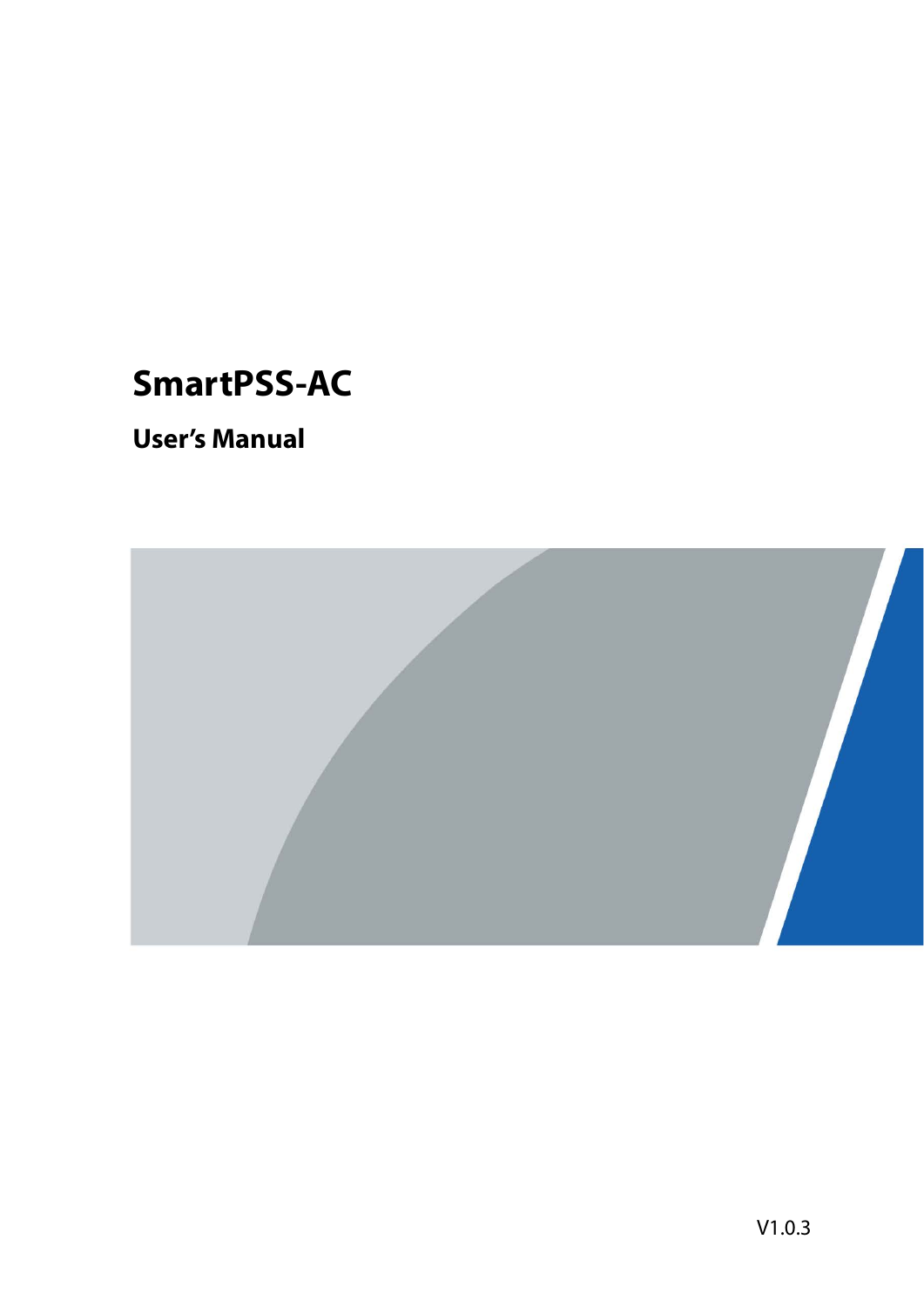# **SmartPSS-AC**

## **User's Manual**

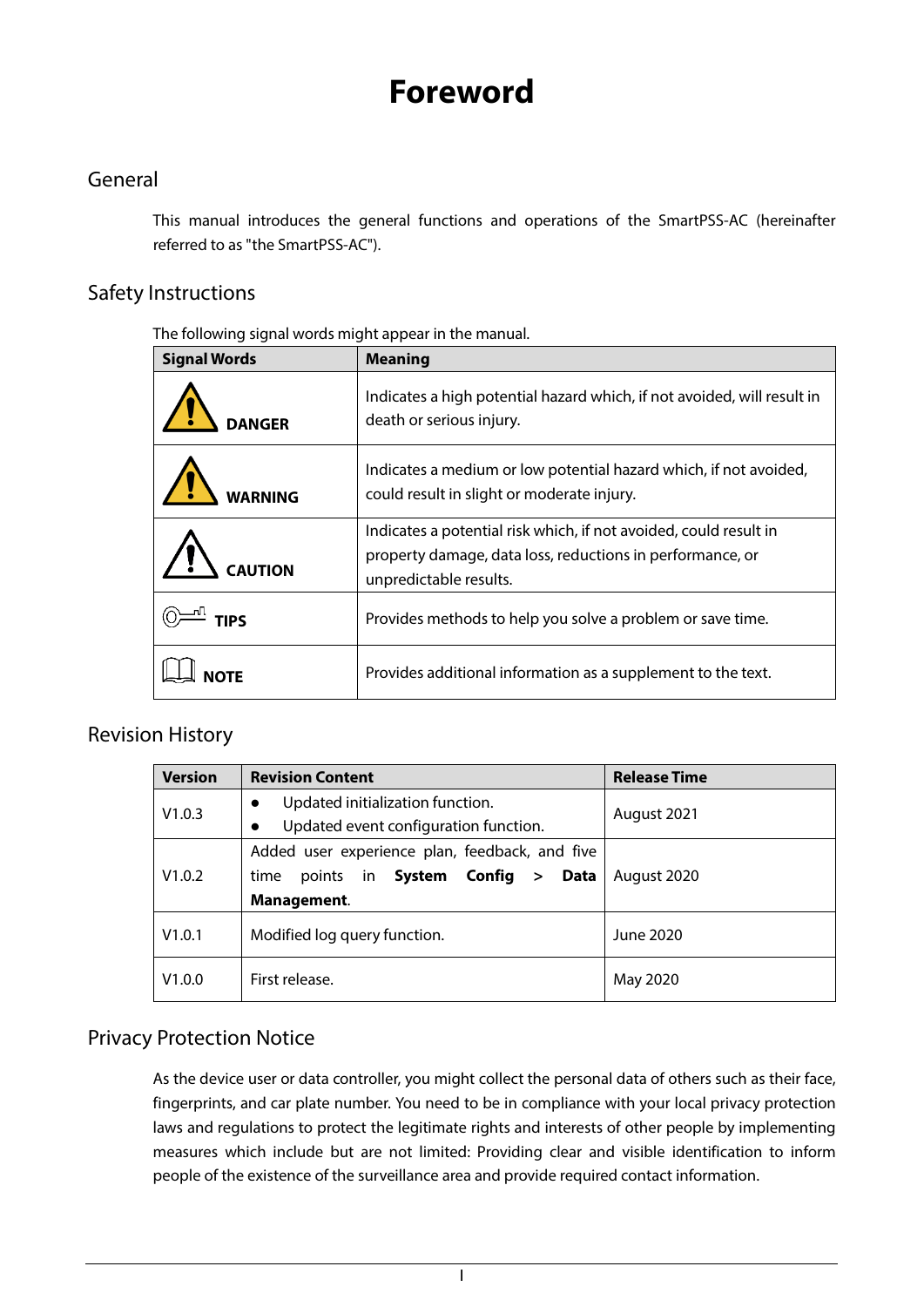## **Foreword**

### <span id="page-1-0"></span>General

This manual introduces the general functions and operations of the SmartPSS-AC (hereinafter referred to as "the SmartPSS-AC").

### Safety Instructions

The following signal words might appear in the manual.

| <b>Signal Words</b> | <b>Meaning</b>                                                                                                                                           |
|---------------------|----------------------------------------------------------------------------------------------------------------------------------------------------------|
| <b>DANGER</b>       | Indicates a high potential hazard which, if not avoided, will result in<br>death or serious injury.                                                      |
| WARNING             | Indicates a medium or low potential hazard which, if not avoided,<br>could result in slight or moderate injury.                                          |
| <b>CAUTION</b>      | Indicates a potential risk which, if not avoided, could result in<br>property damage, data loss, reductions in performance, or<br>unpredictable results. |
| <b>TIPS</b>         | Provides methods to help you solve a problem or save time.                                                                                               |
|                     | Provides additional information as a supplement to the text.                                                                                             |

### Revision History

| <b>Version</b> | <b>Revision Content</b>                                                                | <b>Release Time</b> |
|----------------|----------------------------------------------------------------------------------------|---------------------|
| V1.0.3         | Updated initialization function.<br>$\bullet$<br>Updated event configuration function. | August 2021         |
|                | Added user experience plan, feedback, and five                                         |                     |
| V1.0.2         | points in System Config ><br>Data<br>time<br>Management.                               | August 2020         |
| V1.0.1         | Modified log query function.                                                           | June 2020           |
| V1.0.0         | First release.                                                                         | May 2020            |

### Privacy Protection Notice

As the device user or data controller, you might collect the personal data of others such as their face, fingerprints, and car plate number. You need to be in compliance with your local privacy protection laws and regulations to protect the legitimate rights and interests of other people by implementing measures which include but are not limited: Providing clear and visible identification to inform people of the existence of the surveillance area and provide required contact information.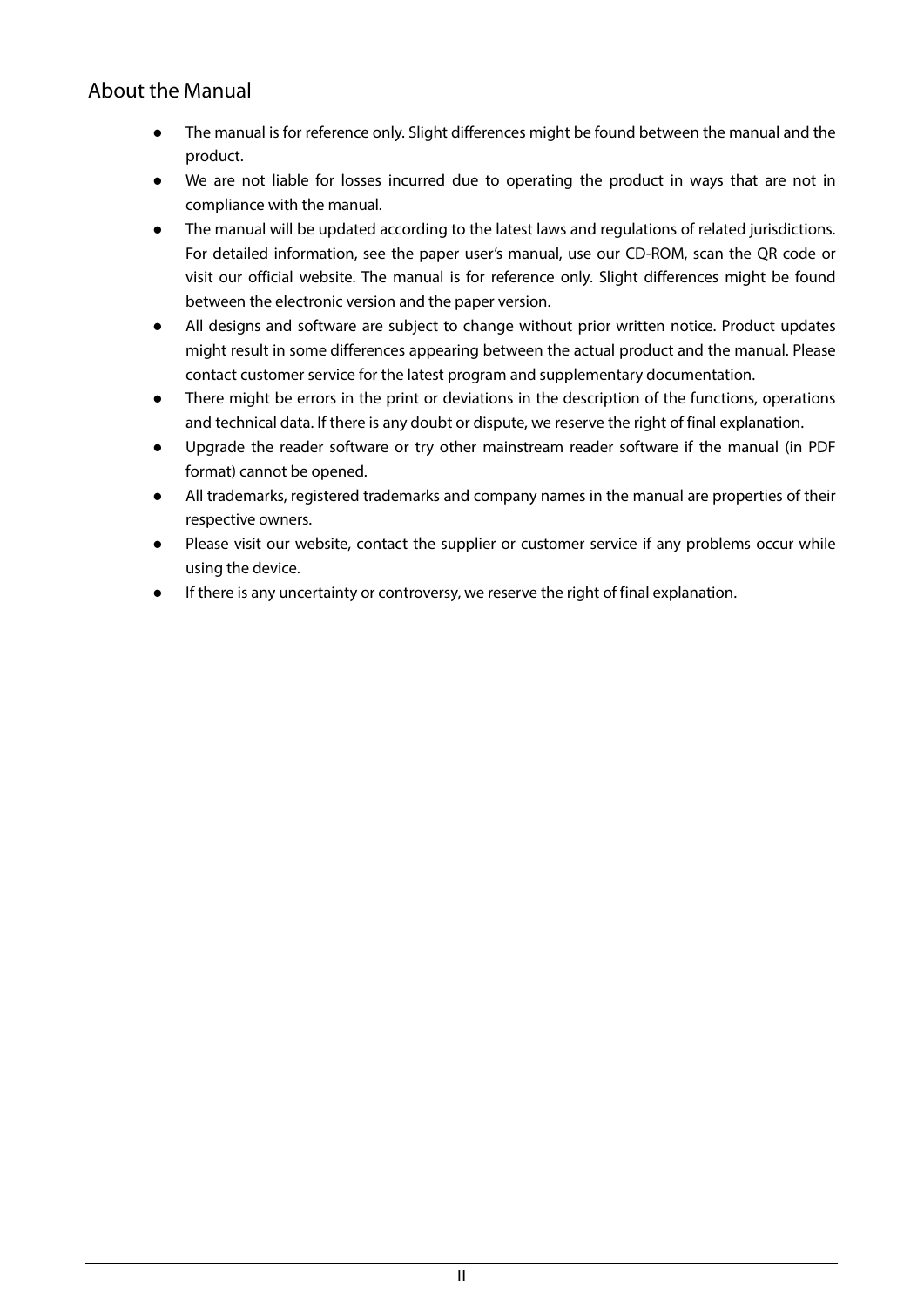### About the Manual

- The manual is for reference only. Slight differences might be found between the manual and the product.
- We are not liable for losses incurred due to operating the product in ways that are not in compliance with the manual.
- The manual will be updated according to the latest laws and regulations of related jurisdictions. For detailed information, see the paper user's manual, use our CD-ROM, scan the QR code or visit our official website. The manual is for reference only. Slight differences might be found between the electronic version and the paper version.
- All designs and software are subject to change without prior written notice. Product updates might result in some differences appearing between the actual product and the manual. Please contact customer service for the latest program and supplementary documentation.
- There might be errors in the print or deviations in the description of the functions, operations and technical data. If there is any doubt or dispute, we reserve the right of final explanation.
- Upgrade the reader software or try other mainstream reader software if the manual (in PDF format) cannot be opened.
- All trademarks, registered trademarks and company names in the manual are properties of their respective owners.
- Please visit our website, contact the supplier or customer service if any problems occur while using the device.
- If there is any uncertainty or controversy, we reserve the right of final explanation.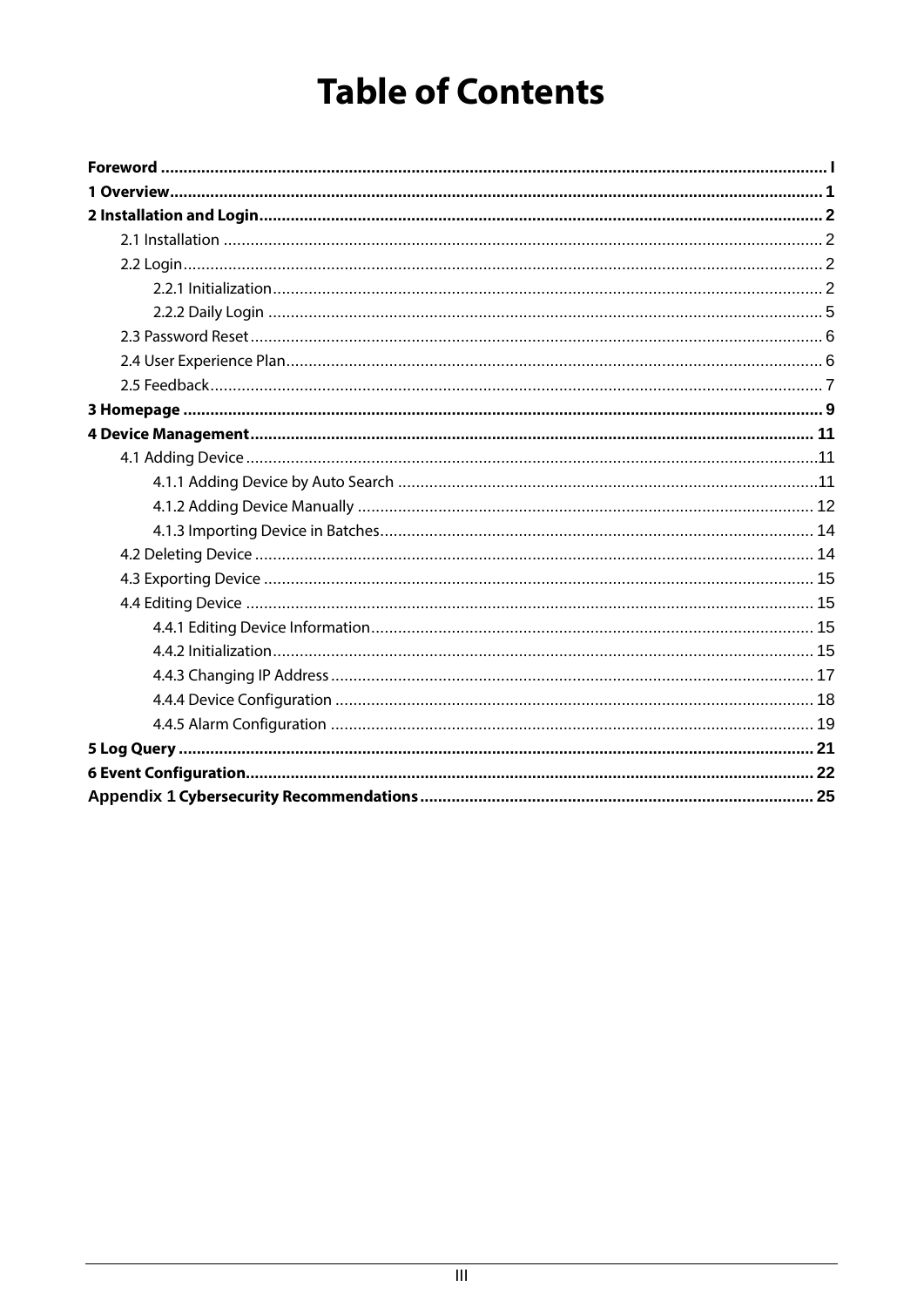# **Table of Contents**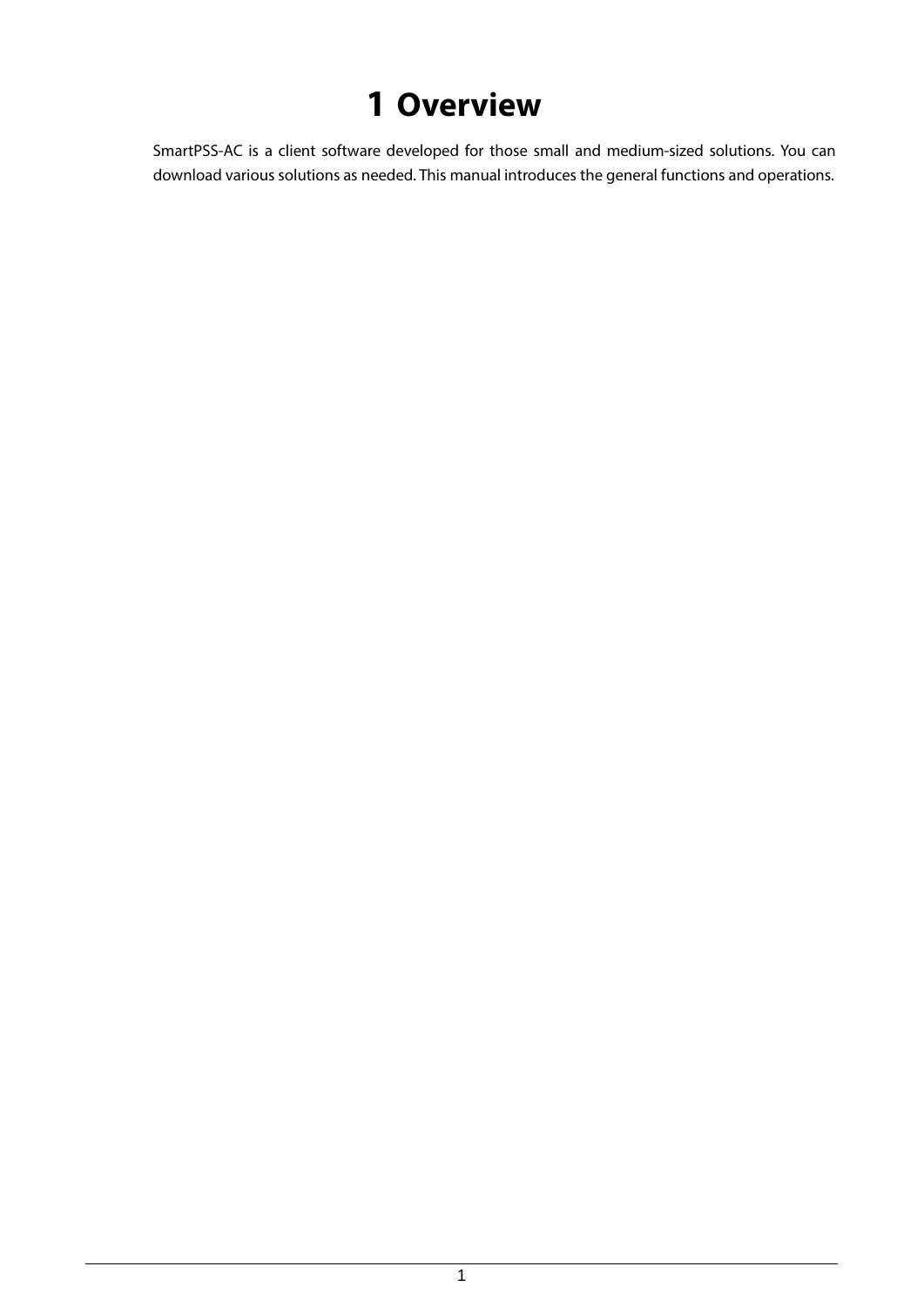# **1 Overview**

<span id="page-4-0"></span>SmartPSS-AC is a client software developed for those small and medium-sized solutions. You can download various solutions as needed. This manual introduces the general functions and operations.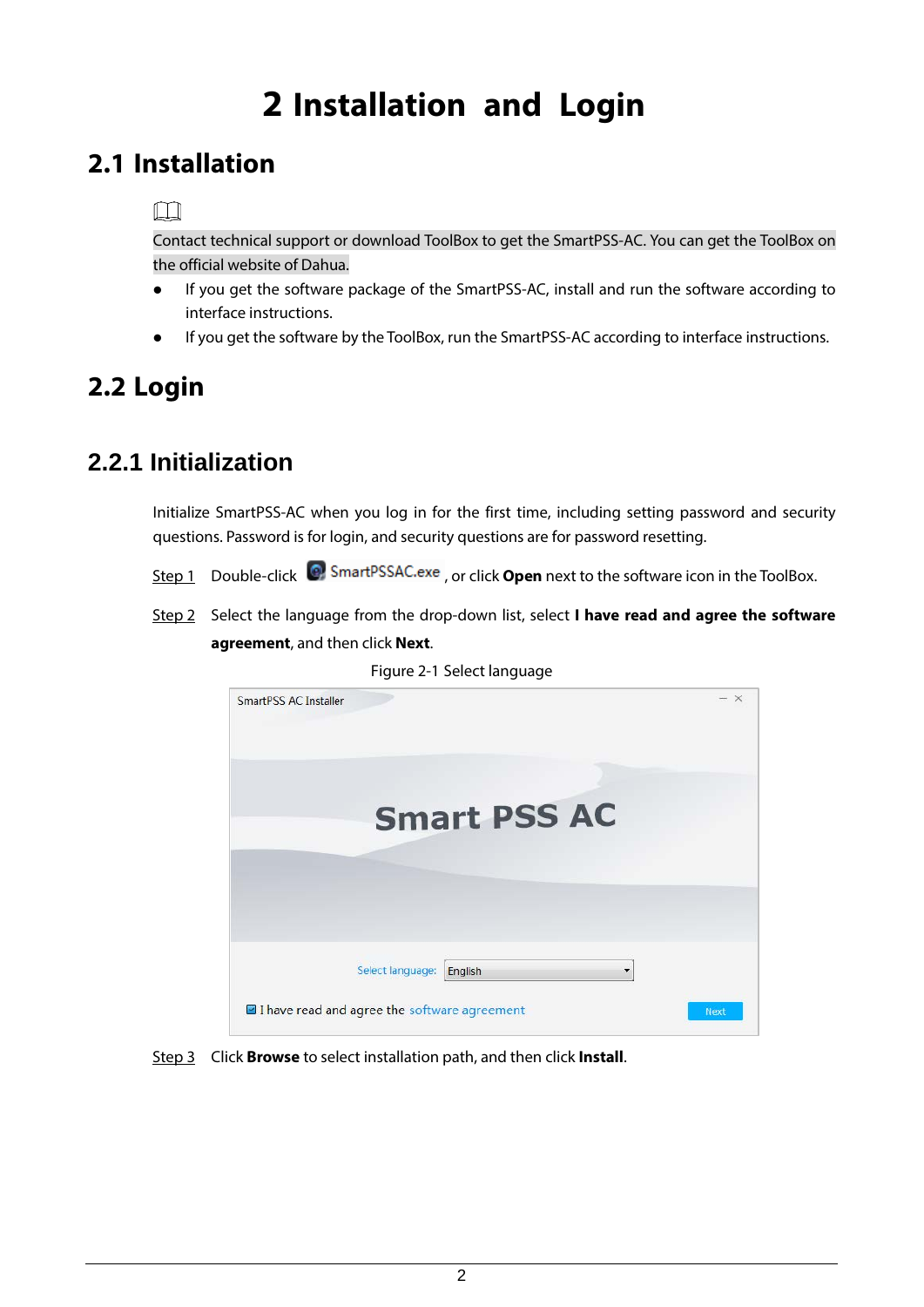# **2 Installation and Login**

## <span id="page-5-1"></span><span id="page-5-0"></span>**2.1 Installation**

### $\Box$

Contact technical support or download ToolBox to get the SmartPSS-AC. You can get the ToolBox on the official website of Dahua.

- If you get the software package of the SmartPSS-AC, install and run the software according to interface instructions.
- If you get the software by the ToolBox, run the SmartPSS-AC according to interface instructions.

## <span id="page-5-2"></span>**2.2 Login**

### <span id="page-5-3"></span>**2.2.1 Initialization**

Initialize SmartPSS-AC when you log in for the first time, including setting password and security questions. Password is for login, and security questions are for password resetting.

- Step 1 Double-click <sup>(2)</sup> SmartPSSAC.exe, or click **Open** next to the software icon in the ToolBox.
- Step 2 Select the language from the drop-down list, select **I have read and agree the software agreement**, and then click **Next**.



Figure 2-1 Select language

Step 3 Click **Browse** to select installation path, and then click **Install**.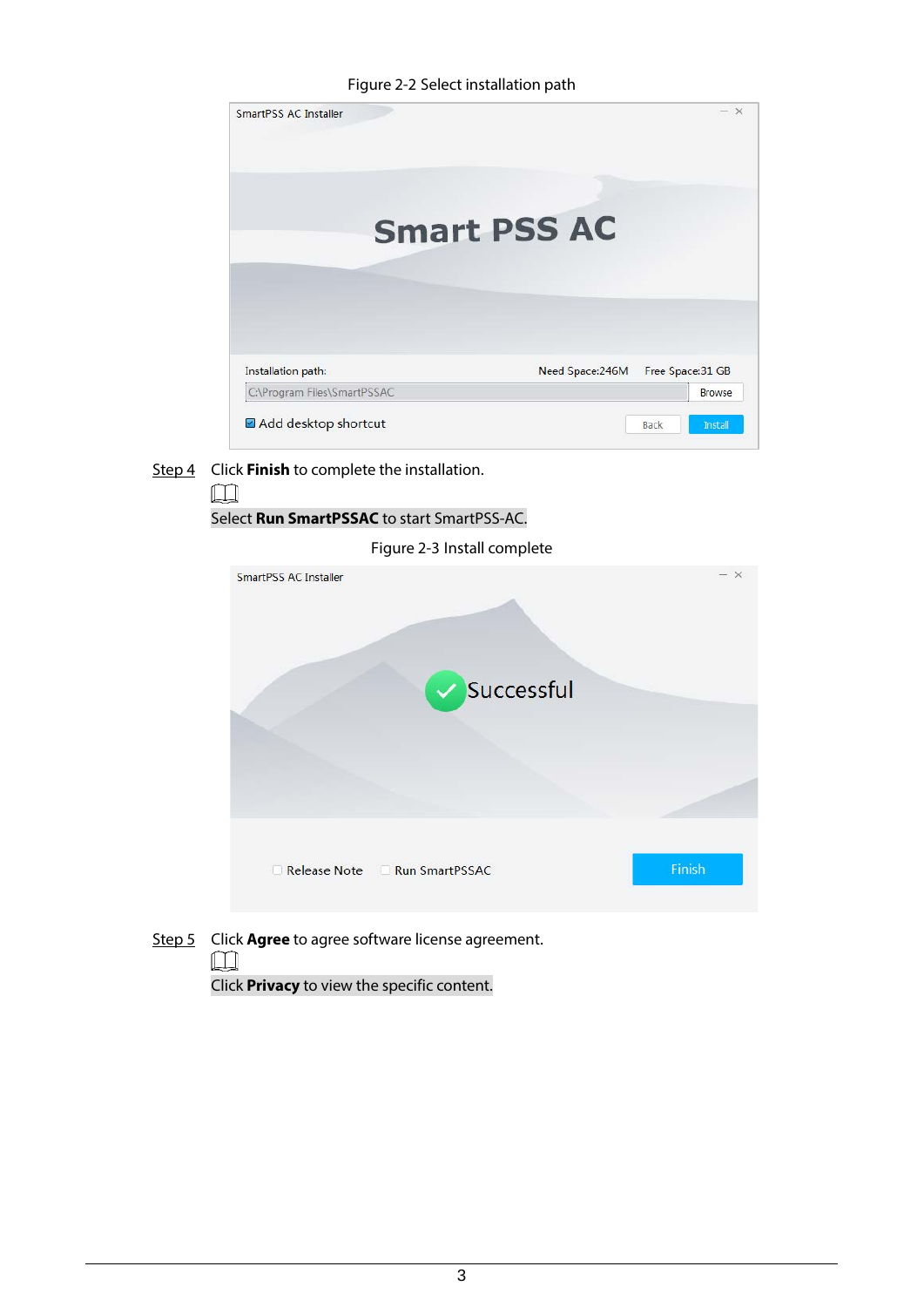Figure 2-2 Select installation path



Step 4 Click **Finish** to complete the installation.



 $\Box$ 

Click **Privacy** to view the specific content.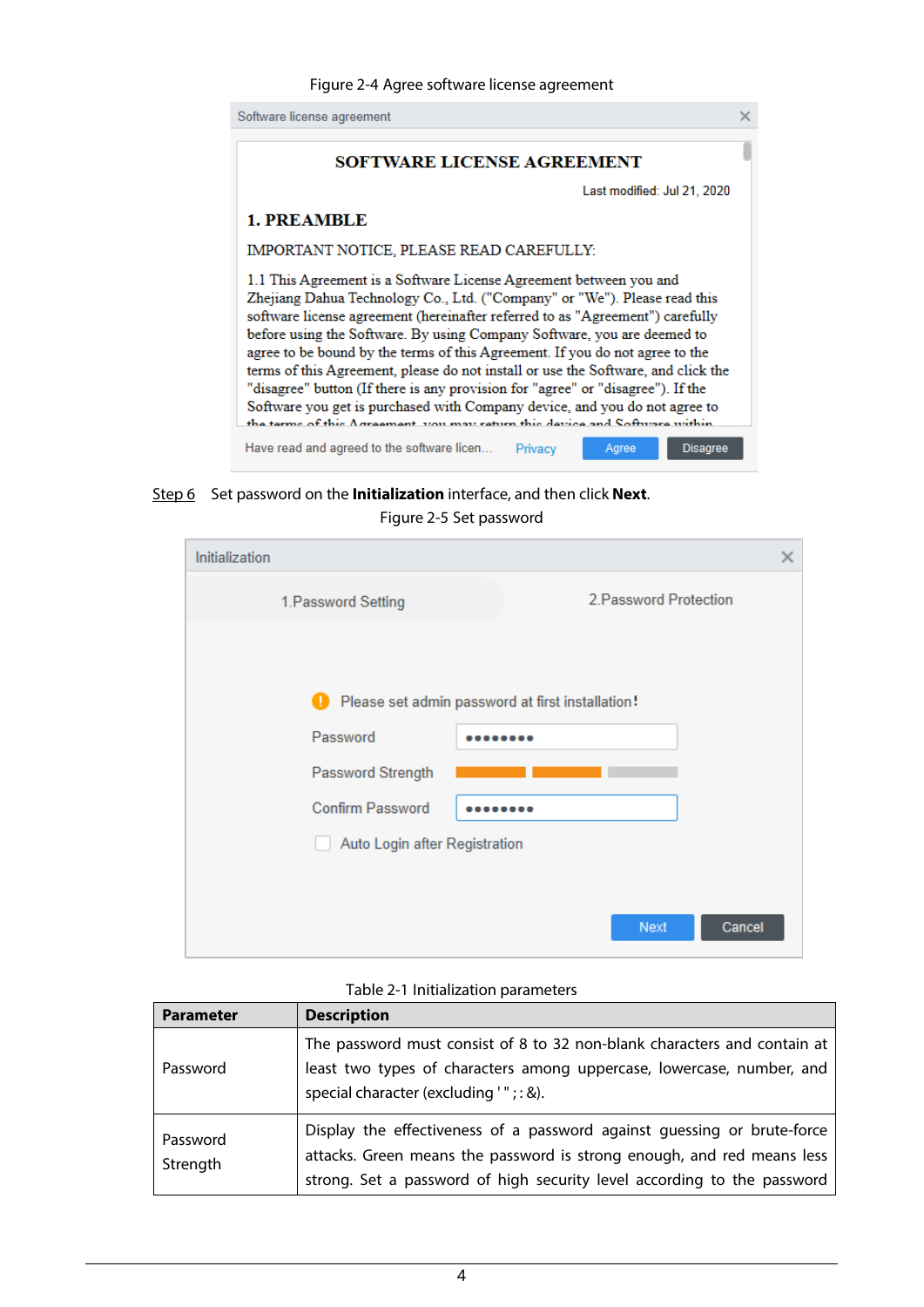

Step 6 Set password on the **Initialization** interface, and then click **Next**.

#### Figure 2-5 Set password

| Initialization                | ×                                                |
|-------------------------------|--------------------------------------------------|
| 1. Password Setting           | 2. Password Protection                           |
|                               |                                                  |
|                               | Please set admin password at first installation! |
| Password                      |                                                  |
| Password Strength             |                                                  |
| <b>Confirm Password</b>       |                                                  |
| Auto Login after Registration |                                                  |
|                               |                                                  |
|                               | Cancel<br>Next                                   |

#### Table 2-1 Initialization parameters

| <b>Parameter</b>     | <b>Description</b>                                                                                                                                                                                                           |
|----------------------|------------------------------------------------------------------------------------------------------------------------------------------------------------------------------------------------------------------------------|
| Password             | The password must consist of 8 to 32 non-blank characters and contain at<br>least two types of characters among uppercase, lowercase, number, and<br>special character (excluding '"; : &).                                  |
| Password<br>Strength | Display the effectiveness of a password against guessing or brute-force<br>attacks. Green means the password is strong enough, and red means less<br>strong. Set a password of high security level according to the password |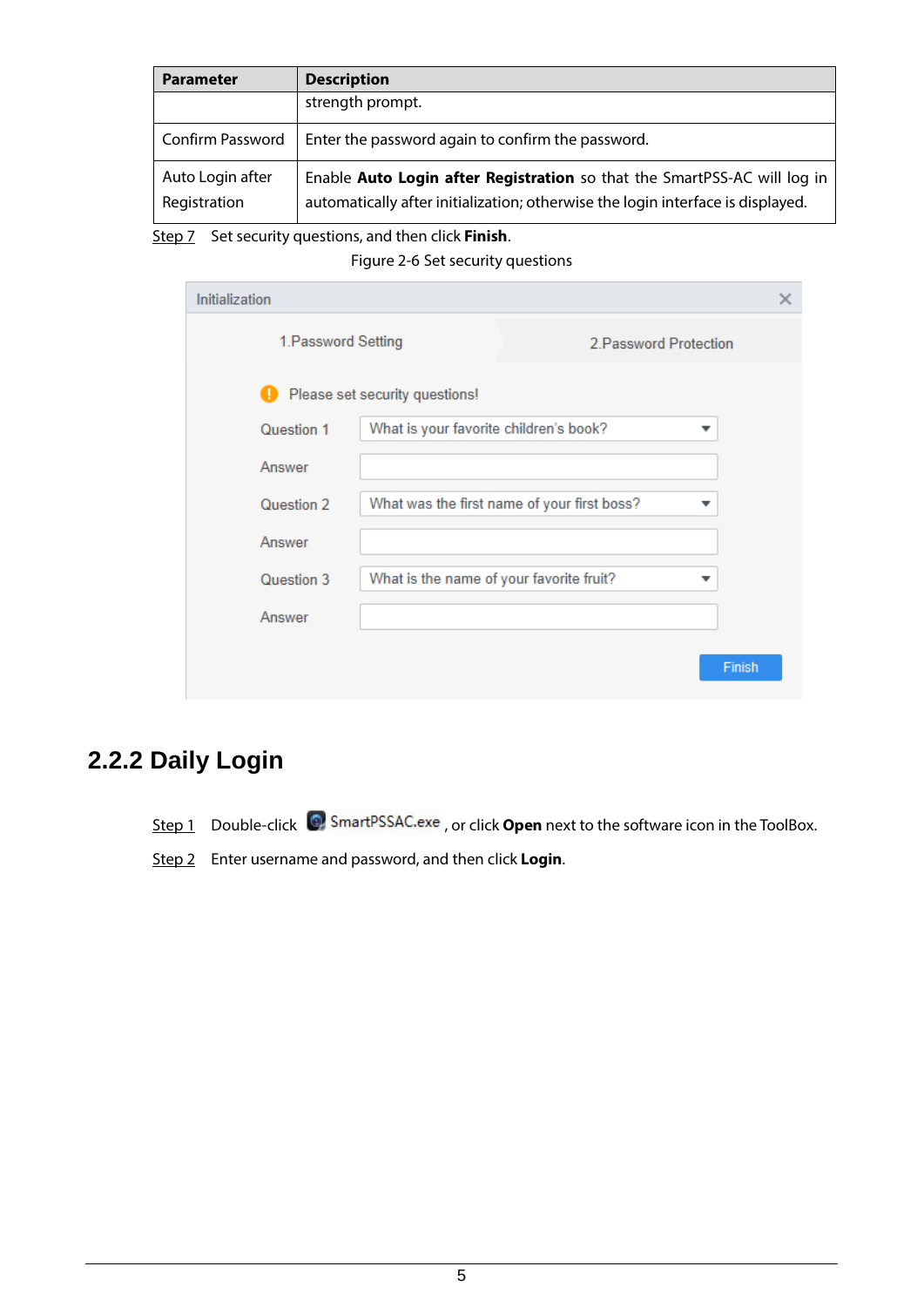| <b>Parameter</b>                 | <b>Description</b>                                                                                                                                          |
|----------------------------------|-------------------------------------------------------------------------------------------------------------------------------------------------------------|
|                                  | strength prompt.                                                                                                                                            |
| <b>Confirm Password</b>          | Enter the password again to confirm the password.                                                                                                           |
| Auto Login after<br>Registration | Enable Auto Login after Registration so that the SmartPSS-AC will log in<br>automatically after initialization; otherwise the login interface is displayed. |

Step 7 Set security questions, and then click **Finish**.

Figure 2-6 Set security questions

| Initialization      |                                             |  |        | × |
|---------------------|---------------------------------------------|--|--------|---|
| 1. Password Setting | 2. Password Protection                      |  |        |   |
|                     | Please set security questions!              |  |        |   |
| Question 1          | What is your favorite children's book?      |  | ▼      |   |
| Answer              |                                             |  |        |   |
| Question 2          | What was the first name of your first boss? |  |        |   |
| Answer              |                                             |  |        |   |
| Question 3          | What is the name of your favorite fruit?    |  |        |   |
| Answer              |                                             |  |        |   |
|                     |                                             |  | Finish |   |
|                     |                                             |  |        |   |

## <span id="page-8-0"></span>**2.2.2 Daily Login**

Step 1 Double-click <sup>3</sup> SmartPSSAC.exe, or click **Open** next to the software icon in the ToolBox.

Step 2 Enter username and password, and then click **Login**.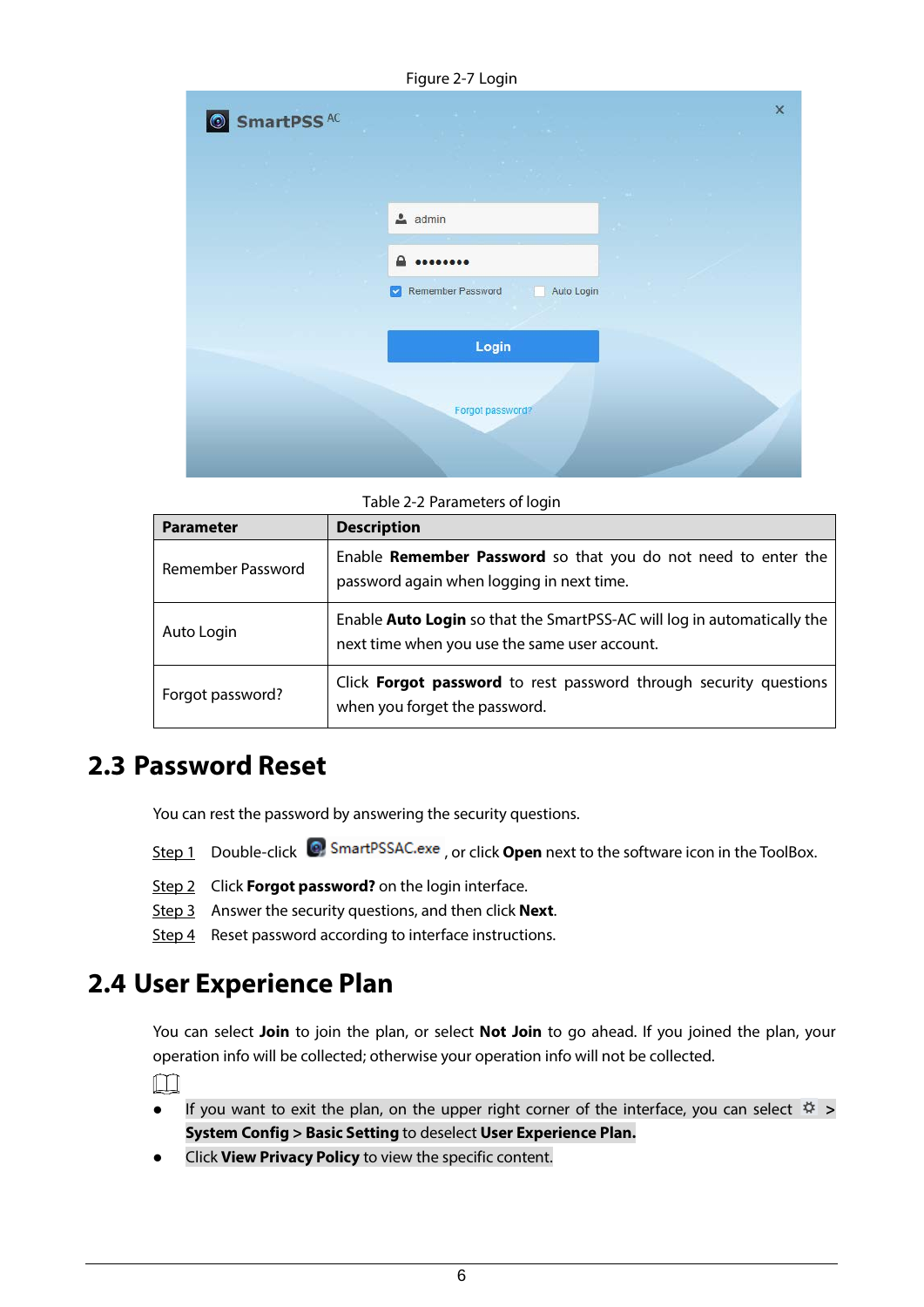Figure 2-7 Login



Table 2-2 Parameters of login

| <b>Parameter</b>  | <b>Description</b>                                                                                                              |
|-------------------|---------------------------------------------------------------------------------------------------------------------------------|
| Remember Password | Enable Remember Password so that you do not need to enter the<br>password again when logging in next time.                      |
| Auto Login        | Enable <b>Auto Login</b> so that the SmartPSS-AC will log in automatically the<br>next time when you use the same user account. |
| Forgot password?  | Click Forgot password to rest password through security questions<br>when you forget the password.                              |

### <span id="page-9-0"></span>**2.3 Password Reset**

You can rest the password by answering the security questions.

- Step 1 Double-click <sup>©</sup> SmartPSSAC.exe, or click **Open** next to the software icon in the ToolBox.
- Step 2 Click **Forgot password?** on the login interface.
- Step 3 Answer the security questions, and then click **Next**.
- Step 4 Reset password according to interface instructions.

### <span id="page-9-1"></span>**2.4 User Experience Plan**

You can select **Join** to join the plan, or select **Not Join** to go ahead. If you joined the plan, your operation info will be collected; otherwise your operation info will not be collected.

 $\Box$ 

- If you want to exit the plan, on the upper right corner of the interface, you can select  $\ddot{\varphi}$  > **System Config > Basic Setting** to deselect **User Experience Plan.**
- Click **View Privacy Policy** to view the specific content.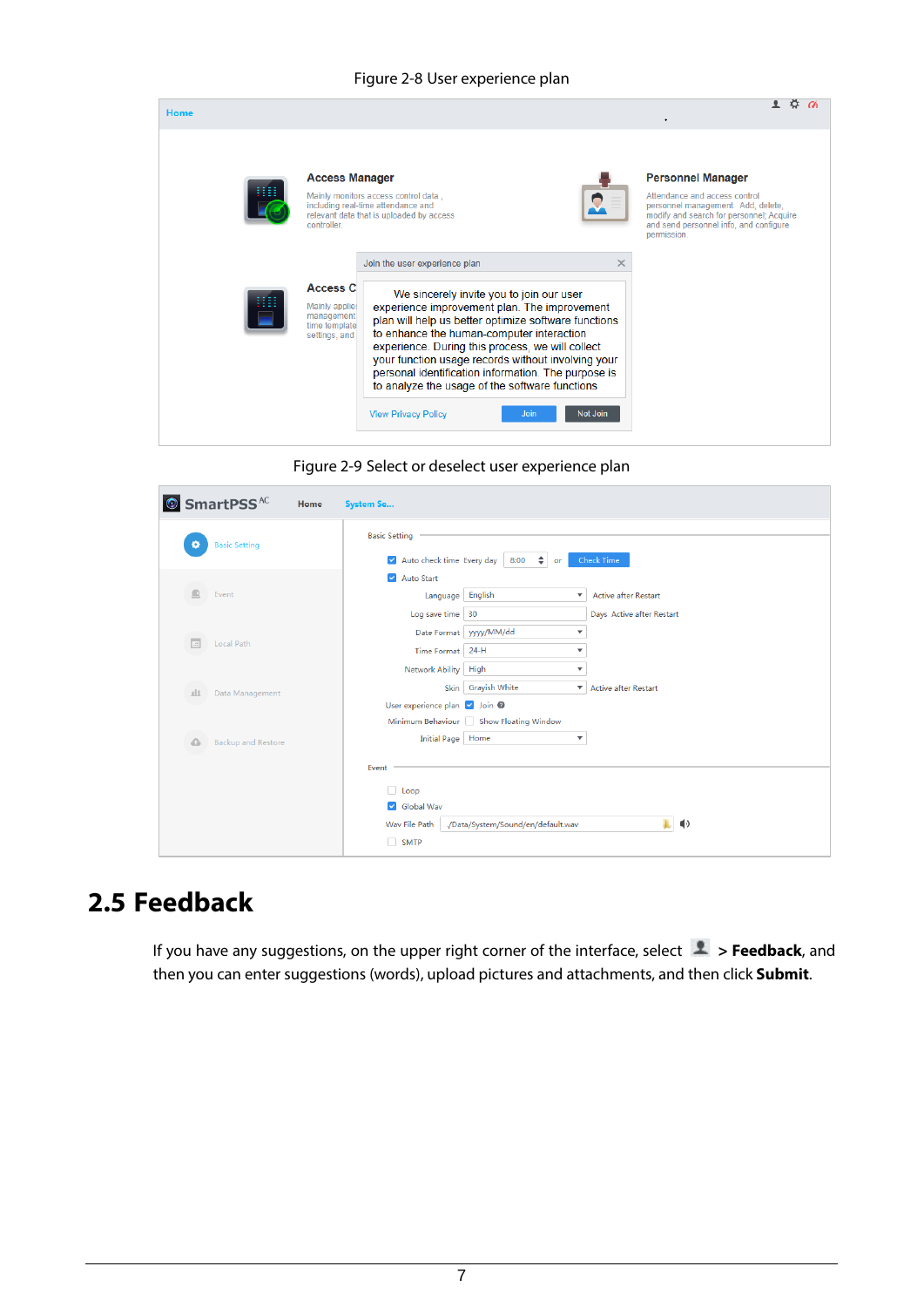#### Figure 2-8 User experience plan

| <b>Home</b> |                                                                                   |                                                                                                                                                                                                                                                                                                                                                                                                                                                                                                                        |                                                                                                                                                                                                      |
|-------------|-----------------------------------------------------------------------------------|------------------------------------------------------------------------------------------------------------------------------------------------------------------------------------------------------------------------------------------------------------------------------------------------------------------------------------------------------------------------------------------------------------------------------------------------------------------------------------------------------------------------|------------------------------------------------------------------------------------------------------------------------------------------------------------------------------------------------------|
|             | <b>Access Manager</b><br>controller.                                              | Mainly monitors access control data.<br>including real-time attendance and<br>relevant data that is uploaded by access                                                                                                                                                                                                                                                                                                                                                                                                 | <b>Personnel Manager</b><br>Attendance and access control<br>personnel management. Add, delete,<br>modify and search for personnel; Acquire<br>and send personnel info, and configure<br>permission. |
|             | <b>Access C</b><br>Mainly applies<br>management<br>time template<br>settings, and | Join the user experience plan<br>$\times$<br>We sincerely invite you to join our user<br>experience improvement plan. The improvement<br>plan will help us better optimize software functions<br>to enhance the human-computer interaction<br>experience. During this process, we will collect<br>your function usage records without involving your<br>personal identification information. The purpose is<br>to analyze the usage of the software functions<br>Not Join<br><b>View Privacy Policy</b><br><b>Join</b> |                                                                                                                                                                                                      |

Figure 2-9 Select or deselect user experience plan

| © SmartPSS <sup>AC</sup> | Home                      | System Se                                                                               |                                                                                   |                                                          |  |  |
|--------------------------|---------------------------|-----------------------------------------------------------------------------------------|-----------------------------------------------------------------------------------|----------------------------------------------------------|--|--|
| łо,                      | <b>Basic Setting</b>      | <b>Basic Setting</b><br>Auto check time Every day<br>$\div$<br>Check Time<br>8:00<br>or |                                                                                   |                                                          |  |  |
| ⋒                        | Event                     | Auto Start<br>Language<br>Log save time 30                                              | English<br>۰                                                                      | <b>Active after Restart</b><br>Days Active after Restart |  |  |
| $\Box$                   | Local Path                | Time Format   24-H                                                                      | Date Format   yyyy/MM/dd<br>▼<br>$\overline{\phantom{a}}$                         |                                                          |  |  |
| 山                        | Data Management           | Network Ability<br>User experience plan v Join @                                        | High<br>$\overline{\mathbf{v}}$<br>Skin Grayish White<br>$\overline{\phantom{a}}$ | Active after Restart                                     |  |  |
| △                        | <b>Backup and Restore</b> | Initial Page   Home                                                                     | Minimum Behaviour Show Floating Window<br>۰                                       |                                                          |  |  |
|                          |                           | Event<br>Loop                                                                           |                                                                                   |                                                          |  |  |
|                          |                           | Global Wav<br>Wav File Path<br>$\Box$ SMTP                                              | ./Data/System/Sound/en/default.wav                                                | ♦                                                        |  |  |

## <span id="page-10-0"></span>**2.5 Feedback**

If you have any suggestions, on the upper right corner of the interface, select **1** > Feedback, and then you can enter suggestions (words), upload pictures and attachments, and then click **Submit**.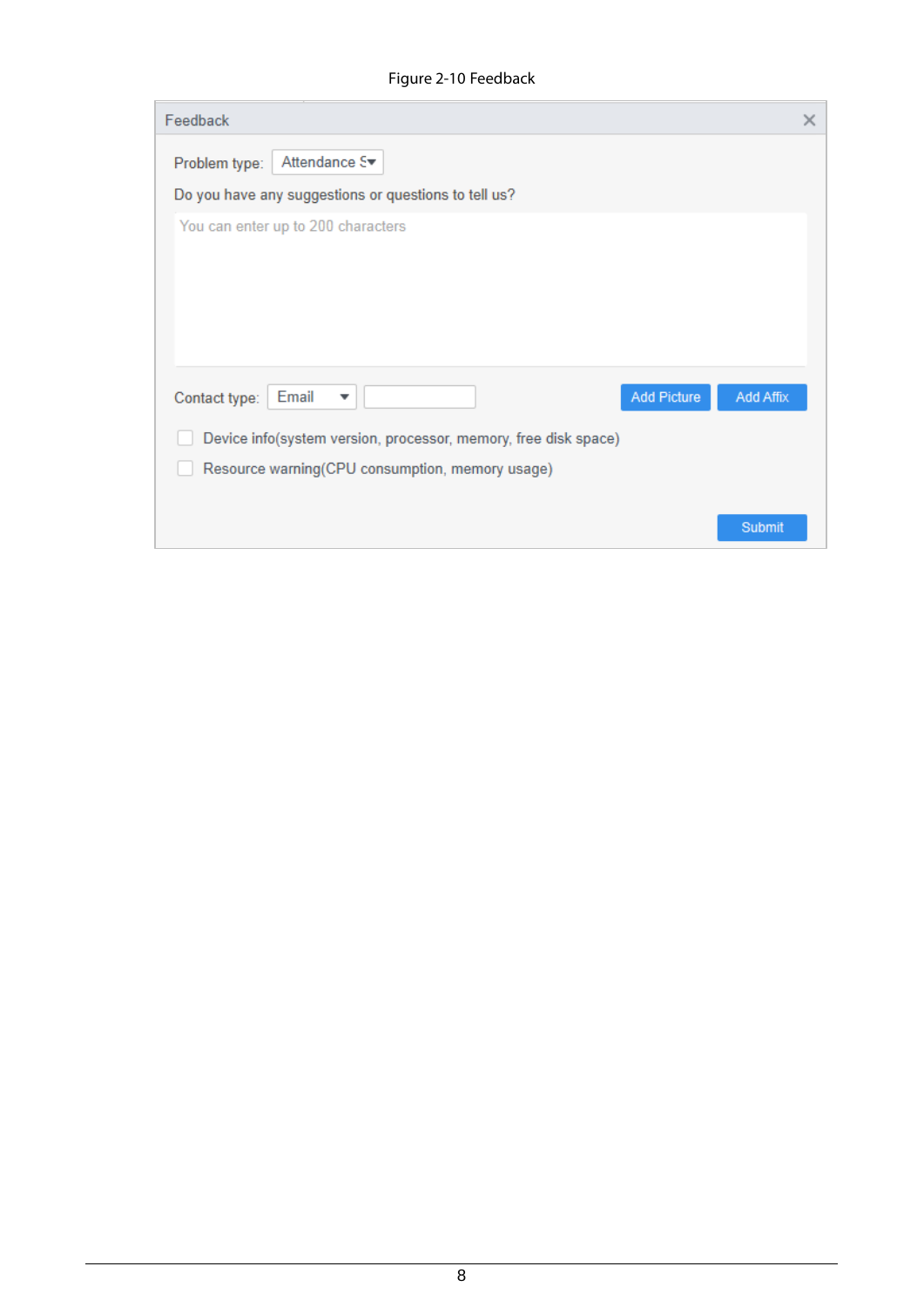Figure 2-10 Feedback

| Feedback                                                                              | $\times$ |
|---------------------------------------------------------------------------------------|----------|
| Attendance S <sup>₩</sup><br>Problem type:                                            |          |
| Do you have any suggestions or questions to tell us?                                  |          |
| You can enter up to 200 characters                                                    |          |
| Add Picture<br><b>Add Affix</b><br>Email<br>Contact type:<br>$\overline{\phantom{a}}$ |          |
| Device info(system version, processor, memory, free disk space)                       |          |
| Resource warning(CPU consumption, memory usage)                                       |          |
| Submit                                                                                |          |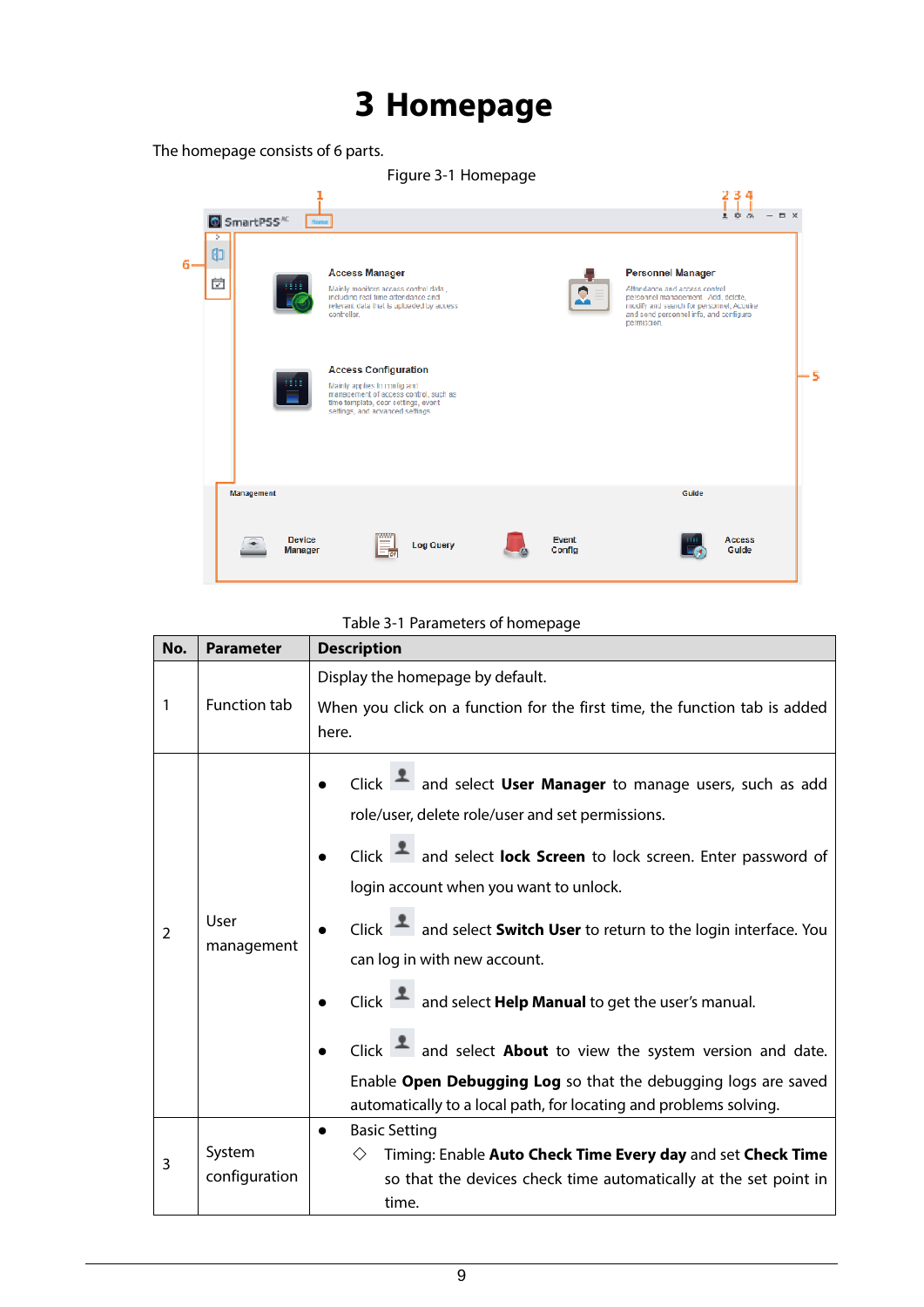# **3 Homepage**

<span id="page-12-0"></span>The homepage consists of 6 parts.

|                        | Figure 3-1 Homepage      |                                                                                                                                                                                 |                  |  |                        |                                                                                                                                                                                                       |                        |            |
|------------------------|--------------------------|---------------------------------------------------------------------------------------------------------------------------------------------------------------------------------|------------------|--|------------------------|-------------------------------------------------------------------------------------------------------------------------------------------------------------------------------------------------------|------------------------|------------|
|                        |                          |                                                                                                                                                                                 |                  |  |                        |                                                                                                                                                                                                       | 234                    |            |
| SmartPSS <sup>KC</sup> | Home                     |                                                                                                                                                                                 |                  |  |                        |                                                                                                                                                                                                       | 100                    | <b>D</b> X |
| 由<br>茵                 |                          | <b>Access Manager</b><br>Mainly monitors access control data<br>including real time attendance and<br>relevant data that is uploaded by access.<br>controller.                  |                  |  | e                      | <b>Personnel Manager</b><br>Attendance and access control<br>personnel management. Add, delete,<br>modify and search for personnel, Acquire-<br>and send personnel info, and configure<br>permission. |                        |            |
|                        |                          | <b>Access Configuration</b><br>Mainly applies to config and<br>management of access control, such as<br>time template, door settings, event<br>selfings, and advanced selfings. |                  |  |                        |                                                                                                                                                                                                       |                        | -5         |
| Management             |                          |                                                                                                                                                                                 |                  |  |                        | Guide                                                                                                                                                                                                 |                        |            |
|                        | <b>Device</b><br>Manager | mm                                                                                                                                                                              | <b>Log Query</b> |  | <b>Event</b><br>Config |                                                                                                                                                                                                       | <b>Access</b><br>Guide |            |

### Table 3-1 Parameters of homepage

| No.           | <b>Parameter</b>    | <b>Description</b>                                                                       |  |  |  |
|---------------|---------------------|------------------------------------------------------------------------------------------|--|--|--|
|               |                     | Display the homepage by default.                                                         |  |  |  |
| 1             | <b>Function tab</b> | When you click on a function for the first time, the function tab is added               |  |  |  |
|               |                     | here.                                                                                    |  |  |  |
|               |                     | Click $\blacksquare$ and select User Manager to manage users, such as add                |  |  |  |
|               |                     | role/user, delete role/user and set permissions.                                         |  |  |  |
| $\mathcal{P}$ |                     |                                                                                          |  |  |  |
|               | User<br>management  | Click $\blacksquare$ and select lock Screen to lock screen. Enter password of            |  |  |  |
|               |                     | login account when you want to unlock.                                                   |  |  |  |
|               |                     | Click $\blacksquare$ and select <b>Switch User</b> to return to the login interface. You |  |  |  |
|               |                     | can log in with new account.                                                             |  |  |  |
|               |                     | Click $\blacksquare$ and select <b>Help Manual</b> to get the user's manual.             |  |  |  |
|               |                     | Click $\blacksquare$ and select <b>About</b> to view the system version and date.        |  |  |  |
|               |                     | Enable Open Debugging Log so that the debugging logs are saved                           |  |  |  |
|               |                     | automatically to a local path, for locating and problems solving.                        |  |  |  |
|               |                     | <b>Basic Setting</b>                                                                     |  |  |  |
| 3             | System              | Timing: Enable Auto Check Time Every day and set Check Time<br>◇                         |  |  |  |
|               | configuration       | so that the devices check time automatically at the set point in                         |  |  |  |
|               |                     | time.                                                                                    |  |  |  |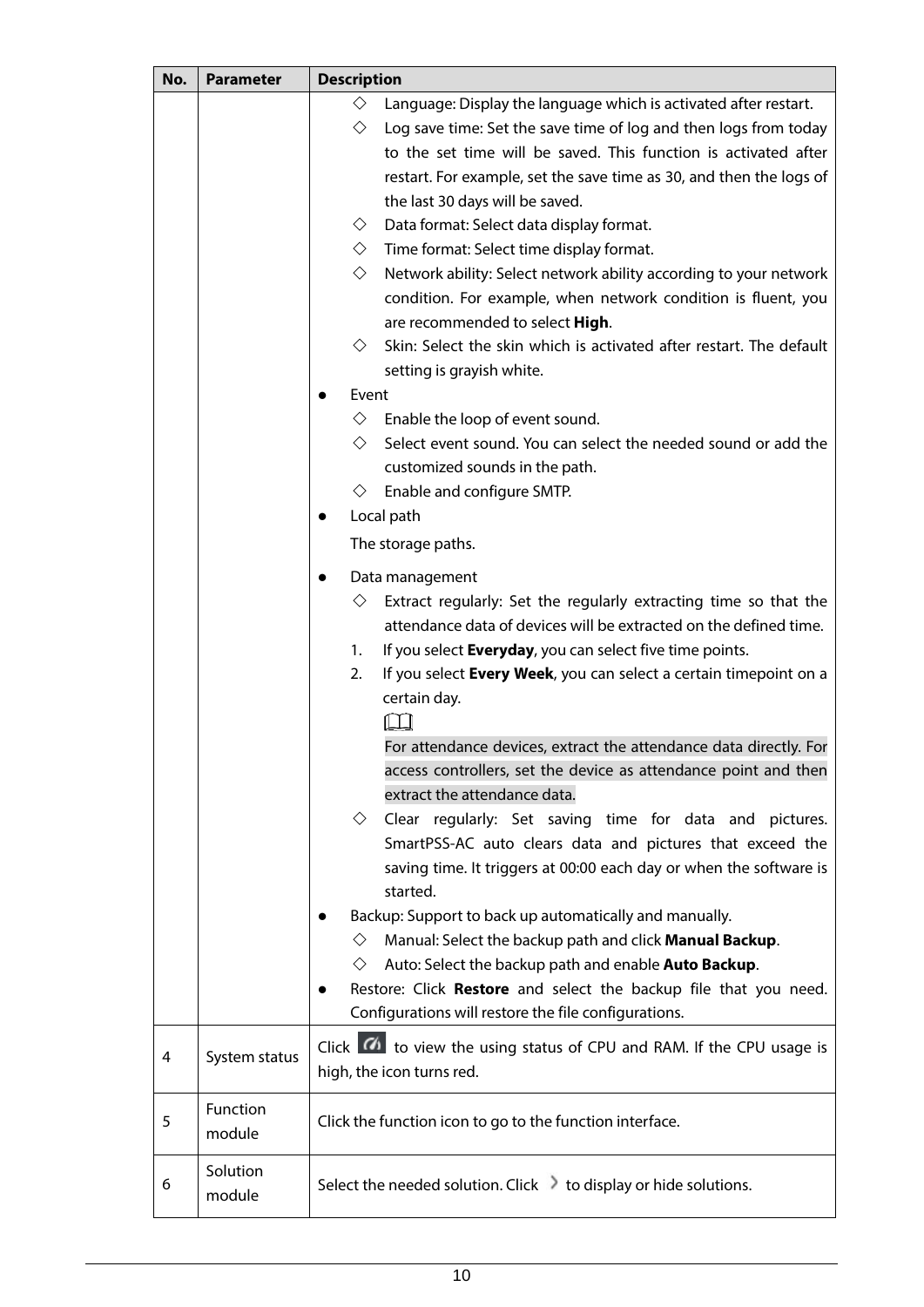| No. | <b>Parameter</b> | <b>Description</b>                                                                  |  |  |
|-----|------------------|-------------------------------------------------------------------------------------|--|--|
|     |                  | ♦<br>Language: Display the language which is activated after restart.               |  |  |
|     |                  | ♦<br>Log save time: Set the save time of log and then logs from today               |  |  |
|     |                  | to the set time will be saved. This function is activated after                     |  |  |
|     |                  | restart. For example, set the save time as 30, and then the logs of                 |  |  |
|     |                  | the last 30 days will be saved.                                                     |  |  |
|     |                  | Data format: Select data display format.<br>♦                                       |  |  |
|     |                  | ◇<br>Time format: Select time display format.                                       |  |  |
|     |                  | $\diamondsuit$<br>Network ability: Select network ability according to your network |  |  |
|     |                  | condition. For example, when network condition is fluent, you                       |  |  |
|     |                  | are recommended to select High.                                                     |  |  |
|     |                  | ♦<br>Skin: Select the skin which is activated after restart. The default            |  |  |
|     |                  | setting is grayish white.                                                           |  |  |
|     |                  | Event                                                                               |  |  |
|     |                  | $\diamond$<br>Enable the loop of event sound.                                       |  |  |
|     |                  | Select event sound. You can select the needed sound or add the<br>♦                 |  |  |
|     |                  | customized sounds in the path.                                                      |  |  |
|     |                  | Enable and configure SMTP.<br>◇                                                     |  |  |
|     |                  | Local path                                                                          |  |  |
|     |                  |                                                                                     |  |  |
|     |                  | The storage paths.                                                                  |  |  |
|     |                  | Data management                                                                     |  |  |
|     |                  | Extract regularly: Set the regularly extracting time so that the<br>♦               |  |  |
|     |                  | attendance data of devices will be extracted on the defined time.                   |  |  |
|     |                  | If you select Everyday, you can select five time points.<br>1.                      |  |  |
|     |                  | 2.<br>If you select Every Week, you can select a certain timepoint on a             |  |  |
|     |                  | certain day.                                                                        |  |  |
|     |                  |                                                                                     |  |  |
|     |                  | For attendance devices, extract the attendance data directly. For                   |  |  |
|     |                  | access controllers, set the device as attendance point and then                     |  |  |
|     |                  | extract the attendance data.                                                        |  |  |
|     |                  | Clear regularly: Set saving time for data and pictures.<br>◇                        |  |  |
|     |                  | SmartPSS-AC auto clears data and pictures that exceed the                           |  |  |
|     |                  | saving time. It triggers at 00:00 each day or when the software is                  |  |  |
|     |                  | started.                                                                            |  |  |
|     |                  | Backup: Support to back up automatically and manually.                              |  |  |
|     |                  | Manual: Select the backup path and click Manual Backup.<br>◇                        |  |  |
|     |                  | Auto: Select the backup path and enable Auto Backup.<br>◇                           |  |  |
|     |                  | Restore: Click Restore and select the backup file that you need.<br>$\bullet$       |  |  |
|     |                  | Configurations will restore the file configurations.                                |  |  |
|     |                  |                                                                                     |  |  |
| 4   | System status    | Click <b>10</b> to view the using status of CPU and RAM. If the CPU usage is        |  |  |
|     |                  | high, the icon turns red.                                                           |  |  |
|     | Function         |                                                                                     |  |  |
| 5   | module           | Click the function icon to go to the function interface.                            |  |  |
|     |                  |                                                                                     |  |  |
| 6   | Solution         | Select the needed solution. Click > to display or hide solutions.                   |  |  |
|     | module           |                                                                                     |  |  |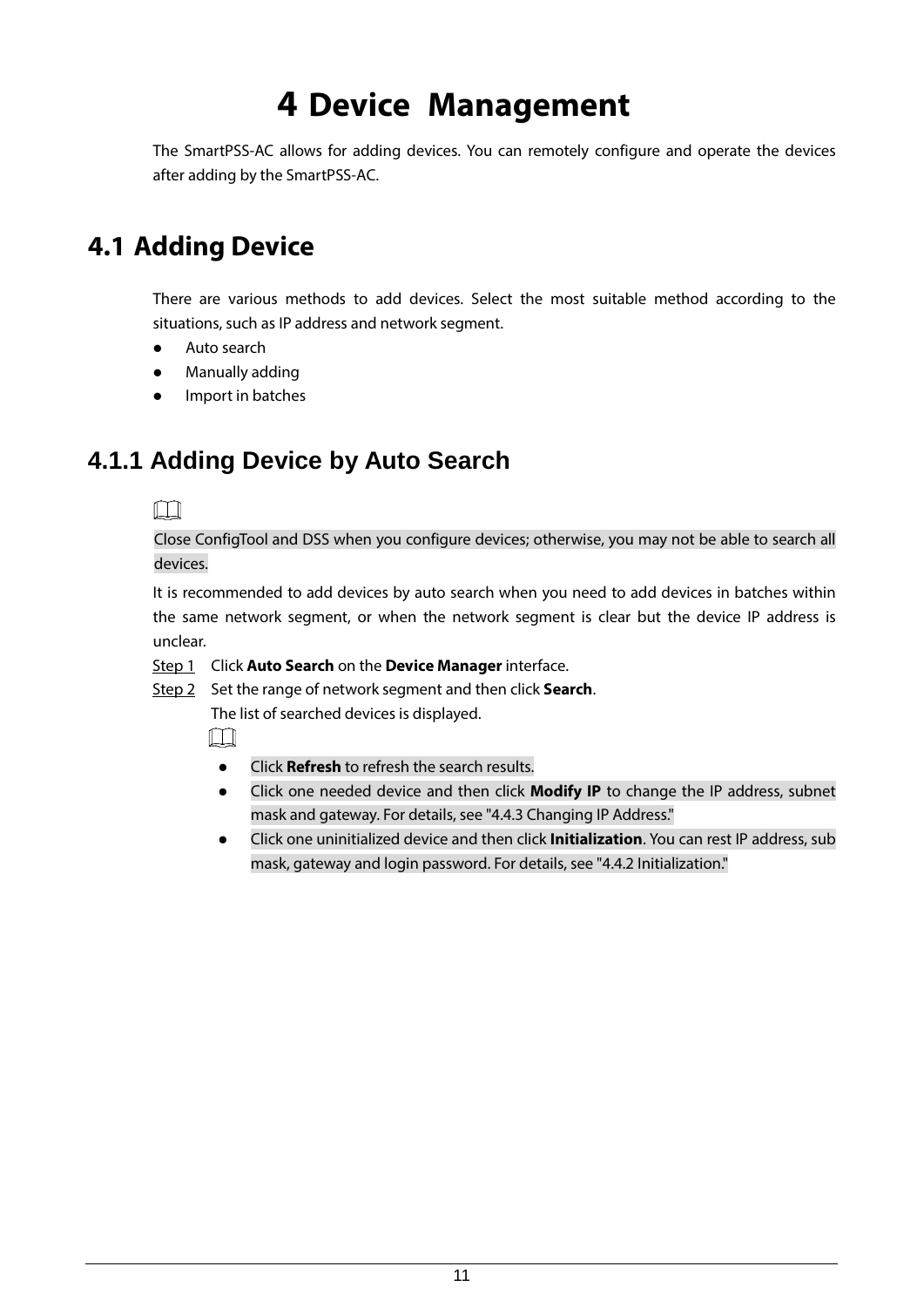## **4 Device Management**

<span id="page-14-0"></span>The SmartPSS-AC allows for adding devices. You can remotely configure and operate the devices after adding by the SmartPSS-AC.

## <span id="page-14-1"></span>**4.1 Adding Device**

There are various methods to add devices. Select the most suitable method according to the situations, such as IP address and network segment.

- Auto search
- Manually adding
- Import in batches

### <span id="page-14-2"></span>**4.1.1 Adding Device by Auto Search**

M

Close ConfigTool and DSS when you configure devices; otherwise, you may not be able to search all devices.

It is recommended to add devices by auto search when you need to add devices in batches within the same network segment, or when the network segment is clear but the device IP address is unclear.

- Step 1 Click **Auto Search** on the **Device Manager** interface.
- Step 2 Set the range of network segment and then click **Search**.

The list of searched devices is displayed.

Ш

- Click **Refresh** to refresh the search results.
- Click one needed device and then click **Modify IP** to change the IP address, subnet mask and gateway. For details, see ["4.4.3](#page-20-0) [Changing IP Address."](#page-20-0)
- Click one uninitialized device and then click **Initialization**. You can rest IP address, sub mask, gateway and login password. For details, see ["4.4.2](#page-18-3) [Initialization."](#page-18-3)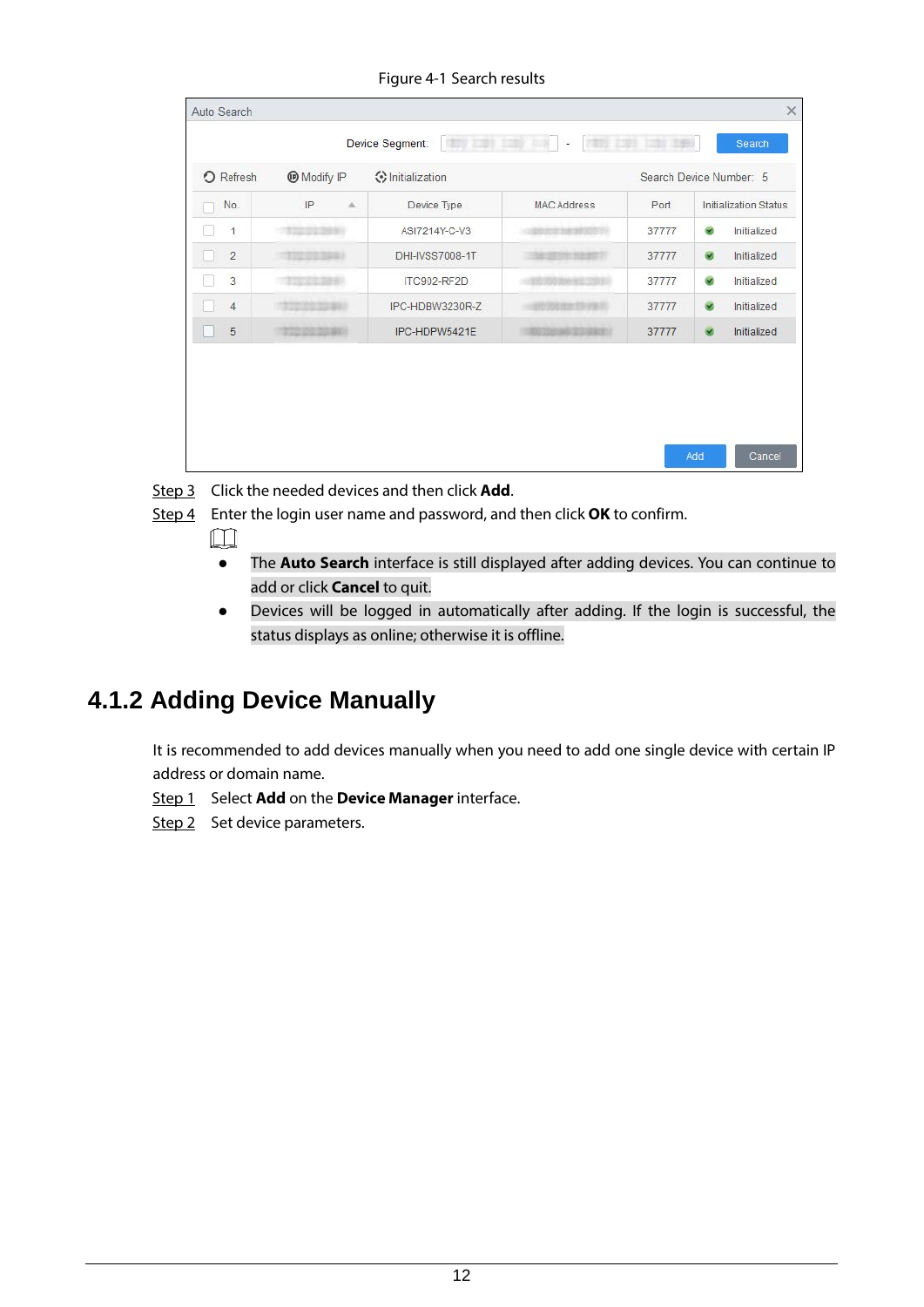| O Refresh      | <b>Modify IP</b>     | O Initialization |                    |       | Search Device Number: 5                |
|----------------|----------------------|------------------|--------------------|-------|----------------------------------------|
| No.            | $\Delta$<br>IP       | Device Type      | <b>MAC Address</b> | Port  | <b>Initialization Status</b>           |
| $\mathbf{1}$   |                      | ASI7214Y-C-V3    |                    | 37777 | $\tilde{\mathbf{z}}$<br>Initialized    |
| $\overline{2}$ |                      | DHI-IVSS7008-1T  |                    | 37777 | $\bullet$<br>Initialized               |
| 3              |                      | ITC902-RF2D      |                    | 37777 | $\overline{\mathbf{v}}$<br>Initialized |
| $\overline{4}$ | <b>TO AND SHEART</b> | IPC-HDBW3230R-Z  |                    | 37777 | Initialized<br>$\bullet$               |
| 5              | 32010310381          | IPC-HDPW5421E    | <b>MACHINE</b>     | 37777 | Initialized<br>$\infty$                |

Figure 4-1 Search results

Step 3 Click the needed devices and then click **Add**.

Step 4 Enter the login user name and password, and then click **OK** to confirm.

- $\Box$ 
	- The **Auto Search** interface is still displayed after adding devices. You can continue to add or click **Cancel** to quit.
- Devices will be logged in automatically after adding. If the login is successful, the status displays as online; otherwise it is offline.

### <span id="page-15-0"></span>**4.1.2 Adding Device Manually**

It is recommended to add devices manually when you need to add one single device with certain IP address or domain name.

Step 1 Select **Add** on the **Device Manager** interface.

Step 2 Set device parameters.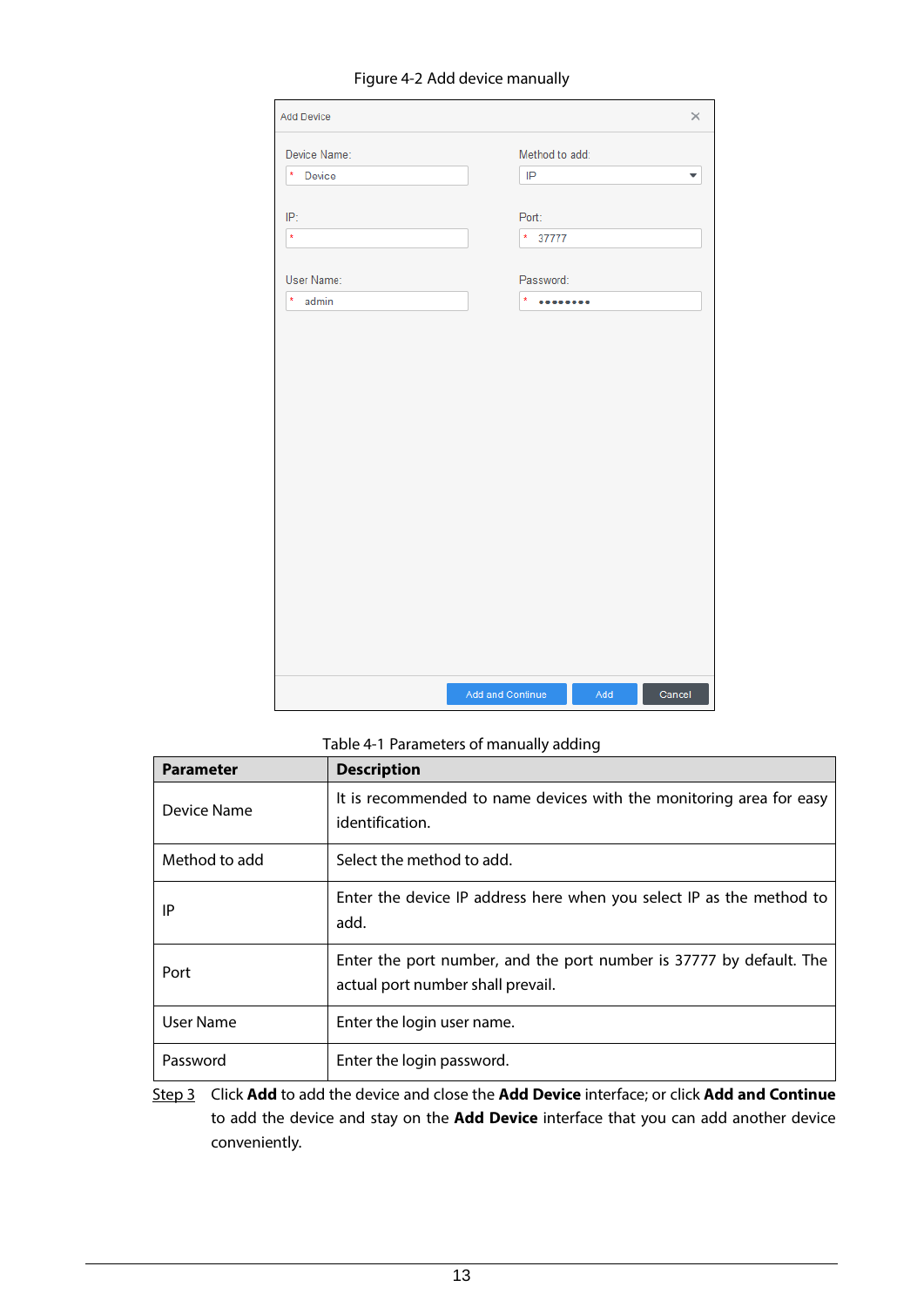#### Figure 4-2 Add device manually

| Add Device       |                  |     | ×      |
|------------------|------------------|-----|--------|
| Device Name:     | Method to add:   |     |        |
| * Device         | IP               |     |        |
| IP:              | Port:            |     |        |
| $\star$          | $* 37777$        |     |        |
| User Name:       | Password:        |     |        |
| $\star$<br>admin | $\star$<br>      |     |        |
|                  |                  |     |        |
|                  | Add and Continue | Add | Cancel |

### Table 4-1 Parameters of manually adding

| <b>Parameter</b> | <b>Description</b>                                                                                       |
|------------------|----------------------------------------------------------------------------------------------------------|
| Device Name      | It is recommended to name devices with the monitoring area for easy<br>identification.                   |
| Method to add    | Select the method to add.                                                                                |
| ΙP               | Enter the device IP address here when you select IP as the method to<br>add.                             |
| Port             | Enter the port number, and the port number is 37777 by default. The<br>actual port number shall prevail. |
| User Name        | Enter the login user name.                                                                               |
| Password         | Enter the login password.                                                                                |

Step 3 Click **Add** to add the device and close the **Add Device** interface; or click **Add and Continue** to add the device and stay on the **Add Device** interface that you can add another device conveniently.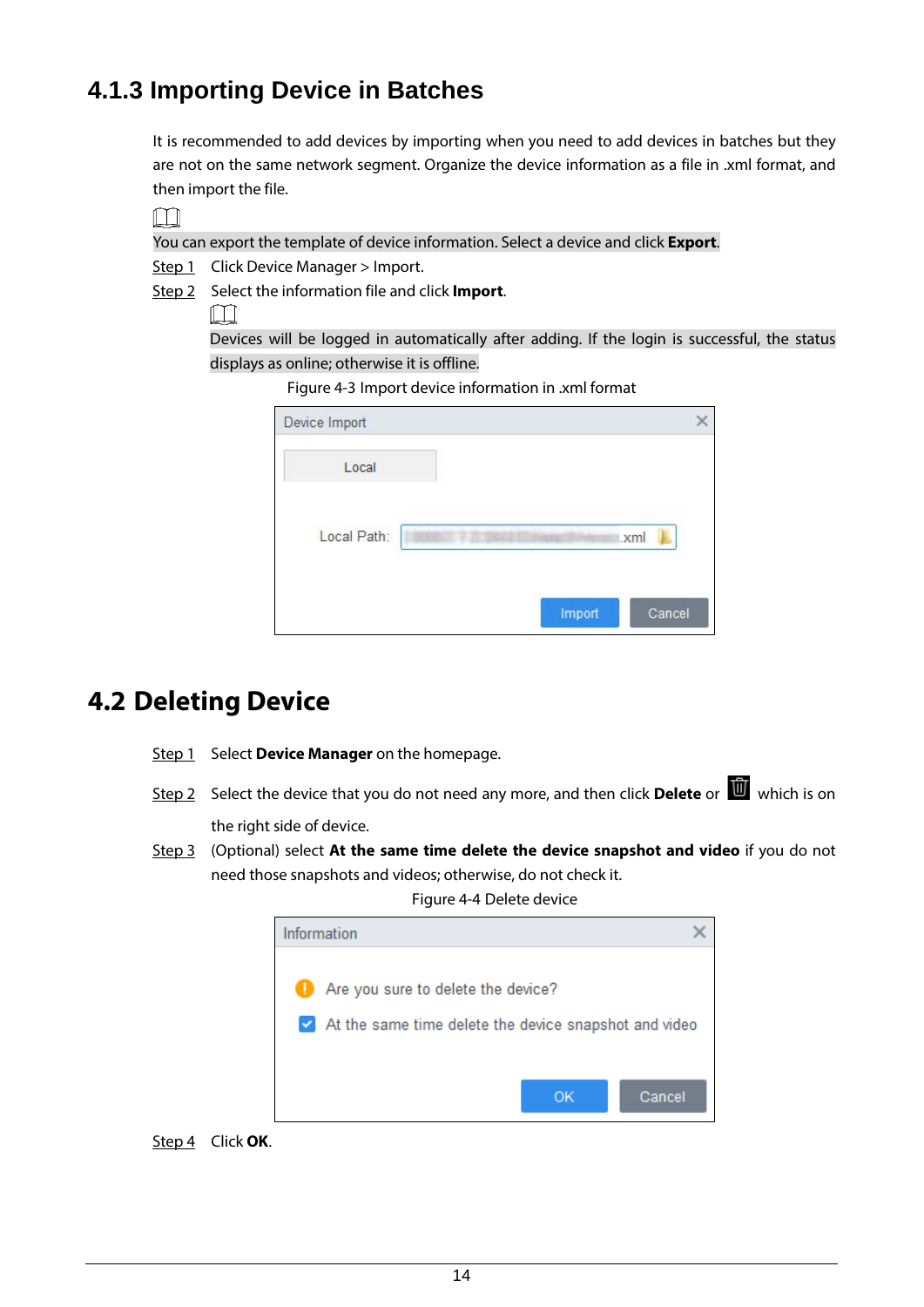### <span id="page-17-0"></span>**4.1.3 Importing Device in Batches**

It is recommended to add devices by importing when you need to add devices in batches but they are not on the same network segment. Organize the device information as a file in .xml format, and then import the file.

 $\Box$ 

You can export the template of device information. Select a device and click **Export**.

Step 1 Click Device Manager > Import.

Step 2 Select the information file and click **Import**.

 $\Box$ 

Devices will be logged in automatically after adding. If the login is successful, the status displays as online; otherwise it is offline.

Figure 4-3 Import device information in .xml format

| Device Import |                                 |  |
|---------------|---------------------------------|--|
| Local         |                                 |  |
| Local Path:   | .xml<br>HERIOL # FL ERRIFFICERS |  |
|               | Cancel<br>Import                |  |

## <span id="page-17-1"></span>**4.2 Deleting Device**

- Step 1 Select Device Manager on the homepage.
- Step 2 Select the device that you do not need any more, and then click **Delete** or **which** is on the right side of device.
- Step 3 (Optional) select **At the same time delete the device snapshot and video** if you do not need those snapshots and videos; otherwise, do not check it.

Figure 4-4 Delete device



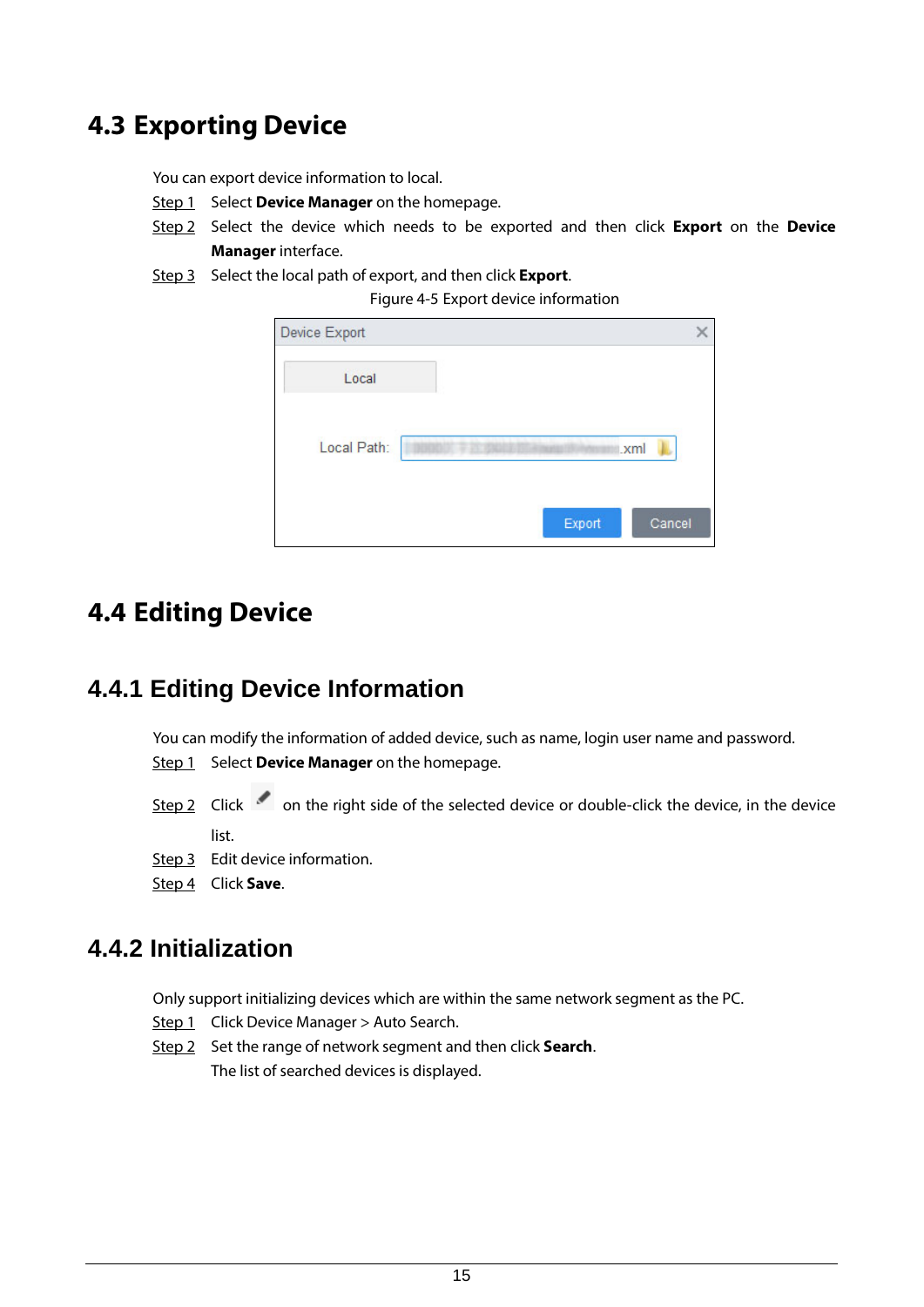## <span id="page-18-0"></span>**4.3 Exporting Device**

You can export device information to local.

- Step 1 Select **Device Manager** on the homepage.
- Step 2 Select the device which needs to be exported and then click **Export** on the **Device Manager** interface.
- Step 3 Select the local path of export, and then click **Export**.

Figure 4-5 Export device information

| Device Export |                  |
|---------------|------------------|
| Local         |                  |
| Local Path:   | .xml             |
|               | Export<br>Cancel |

### <span id="page-18-1"></span>**4.4 Editing Device**

### <span id="page-18-2"></span>**4.4.1 Editing Device Information**

You can modify the information of added device, such as name, login user name and password. Step 1 Select **Device Manager** on the homepage.

Step 2 Click on the right side of the selected device or double-click the device, in the device

list.

- Step 3 Edit device information.
- Step 4 Click **Save**.

### <span id="page-18-3"></span>**4.4.2 Initialization**

Only support initializing devices which are within the same network segment as the PC.

- Step 1 Click Device Manager > Auto Search.
- Step 2 Set the range of network segment and then click **Search**. The list of searched devices is displayed.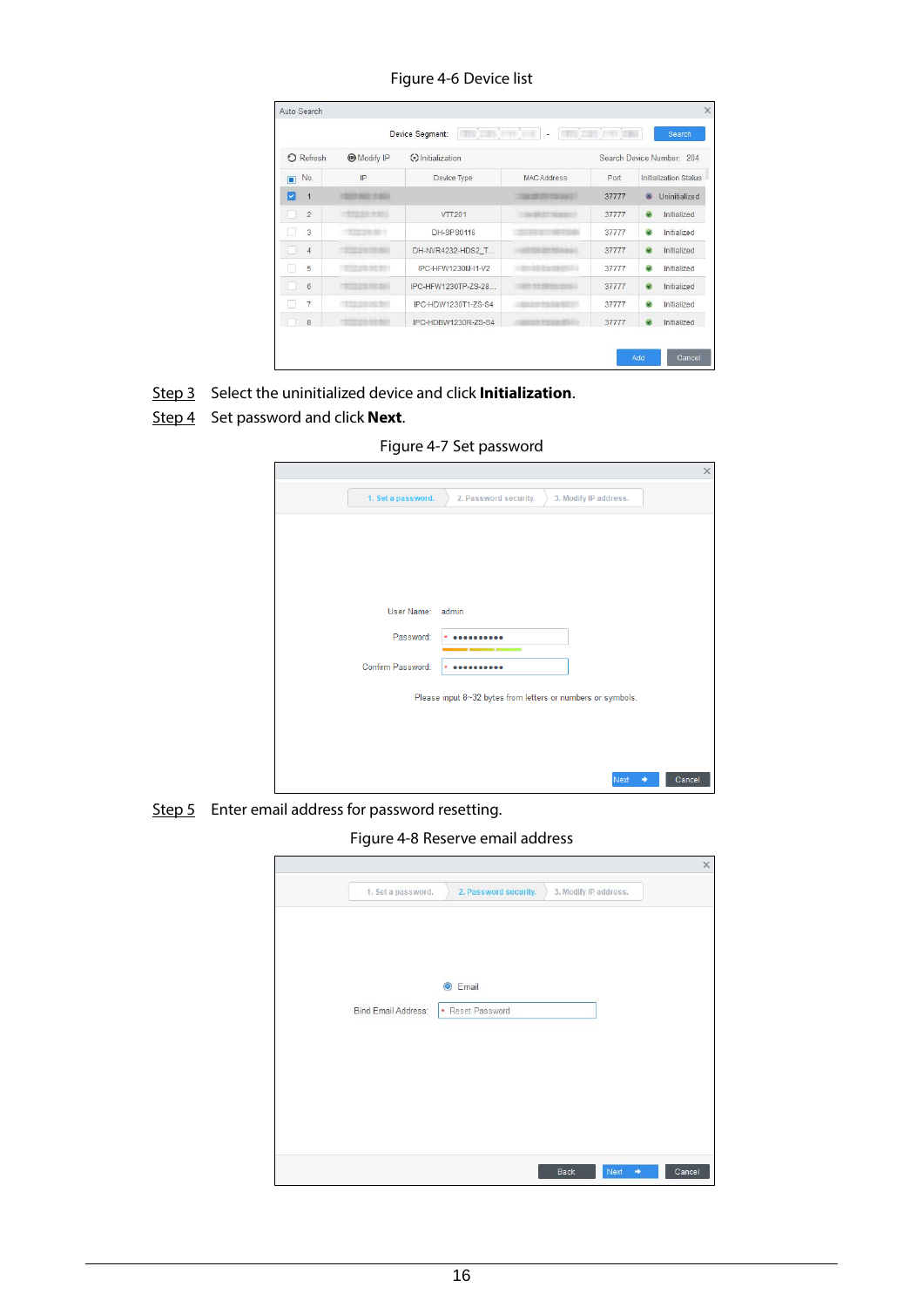Figure 4-6 Device list

|                     |                  | 777.131<br>Device Segment: | <b>COLLECTION</b><br>٠ |       | Search                                 |
|---------------------|------------------|----------------------------|------------------------|-------|----------------------------------------|
| O Refresh           | <b>Modify IP</b> | <b>⊙</b> Initialization    |                        |       | Search Device Number: 204              |
| No.<br>$\square$    | IP               | Device Type                | <b>MAC Address</b>     | Port  | Initialization Status                  |
| Ø<br>$\overline{1}$ | 1222 893 7:30-   |                            | THE REVIEW VALUES      | 37777 | Uninitialized                          |
| $\overline{c}$      | 100220-0031      | <b>VTT201</b>              | <b>BESTER BEATEN</b>   | 37777 | $\overline{\mathbf{v}}$<br>Initialized |
| 3                   | $-7222222221$    | DH-SPS0116                 |                        | 37777 | Initialized<br>$\overline{\mathbf{v}}$ |
| $\overline{4}$      | 3111 218 219 320 | DH-NVR4232-HDS2_T          |                        | 37777 | ۰<br>Initialized                       |
| 5                   | での アカ カセ サアー     | IPC-HFW1230M-I1-V2         | <b>STATISTICS</b>      | 37777 | ø<br>Initialized                       |
| 6                   |                  | IPC-HFW1230TP-7S-28        | <b>PERSONAL</b>        | 37777 | $\overline{\mathbf{v}}$<br>Initialized |
| $\overline{7}$      |                  | IPC-HDW1230T1-7S-S4        |                        | 37777 | $\overline{\mathbf{v}}$<br>Initialized |
| 8                   |                  | IPC-HDBW1230R-ZS-S4        |                        | 37777 | Initialized                            |

Step 3 Select the uninitialized device and click **Initialization**.

Step 4 Set password and click **Next**.

Figure 4-7 Set password

|                    |                                                             |                       | $\times$    |
|--------------------|-------------------------------------------------------------|-----------------------|-------------|
| 1. Set a password. | 2. Password security.                                       | 3. Modify IP address. |             |
|                    |                                                             |                       |             |
|                    |                                                             |                       |             |
|                    |                                                             |                       |             |
| User Name: admin   |                                                             |                       |             |
| Password:          |                                                             |                       |             |
| Confirm Password:  |                                                             |                       |             |
|                    | Please input 8~32 bytes from letters or numbers or symbols. |                       |             |
|                    |                                                             |                       |             |
|                    |                                                             |                       |             |
|                    |                                                             | Next                  | Cancel<br>٠ |

Step 5 Enter email address for password resetting.

Figure 4-8 Reserve email address

|                     |                                   |                       | $\times$ |
|---------------------|-----------------------------------|-----------------------|----------|
| 1. Set a password.  | 2. Password security.             | 3. Modify IP address. |          |
| Bind Email Address: | $\odot$ Email<br>* Reset Password |                       |          |
|                     |                                   | Next<br>٠<br>Back     | Cancel   |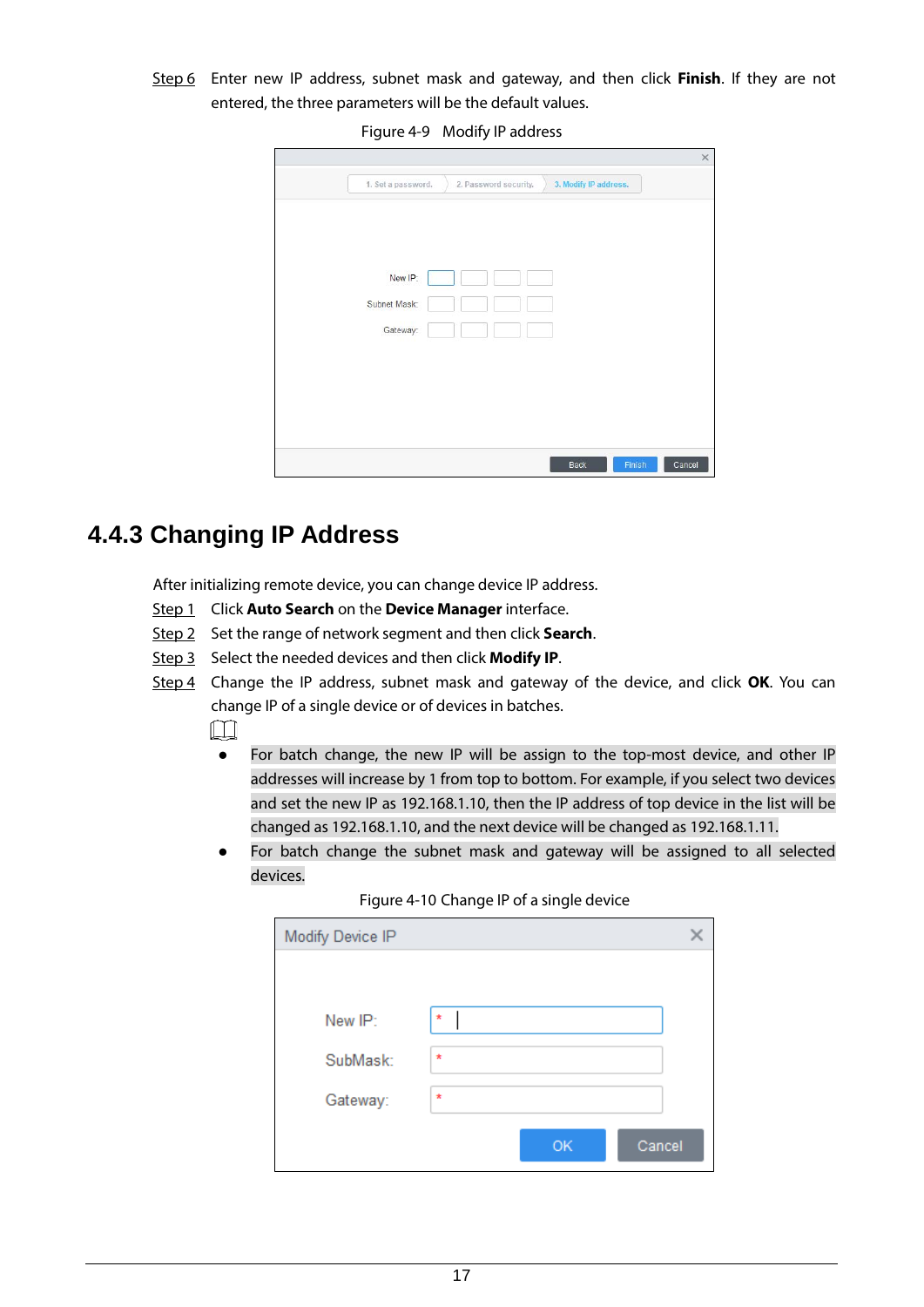Step 6 Enter new IP address, subnet mask and gateway, and then click **Finish**. If they are not entered, the three parameters will be the default values.

Figure 4-9 Modify IP address

| New IP:      |  |
|--------------|--|
|              |  |
| Subnet Mask: |  |
| Gateway:     |  |
|              |  |
|              |  |
|              |  |

### <span id="page-20-0"></span>**4.4.3 Changing IP Address**

After initializing remote device, you can change device IP address.

- Step 1 Click **Auto Search** on the **Device Manager** interface.
- Step 2 Set the range of network segment and then click **Search**.
- Step 3 Select the needed devices and then click **Modify IP**.
- Step 4 Change the IP address, subnet mask and gateway of the device, and click **OK**. You can change IP of a single device or of devices in batches.

M

- For batch change, the new IP will be assign to the top-most device, and other IP addresses will increase by 1 from top to bottom. For example, if you select two devices and set the new IP as 192.168.1.10, then the IP address of top device in the list will be changed as 192.168.1.10, and the next device will be changed as 192.168.1.11.
- For batch change the subnet mask and gateway will be assigned to all selected devices.

| Modify Device IP |              |  |
|------------------|--------------|--|
|                  |              |  |
| New IP:          | $\star$      |  |
| SubMask:         | $\star$      |  |
| Gateway:         | $\star$      |  |
|                  | Cancel<br>OK |  |

Figure 4-10 Change IP of a single device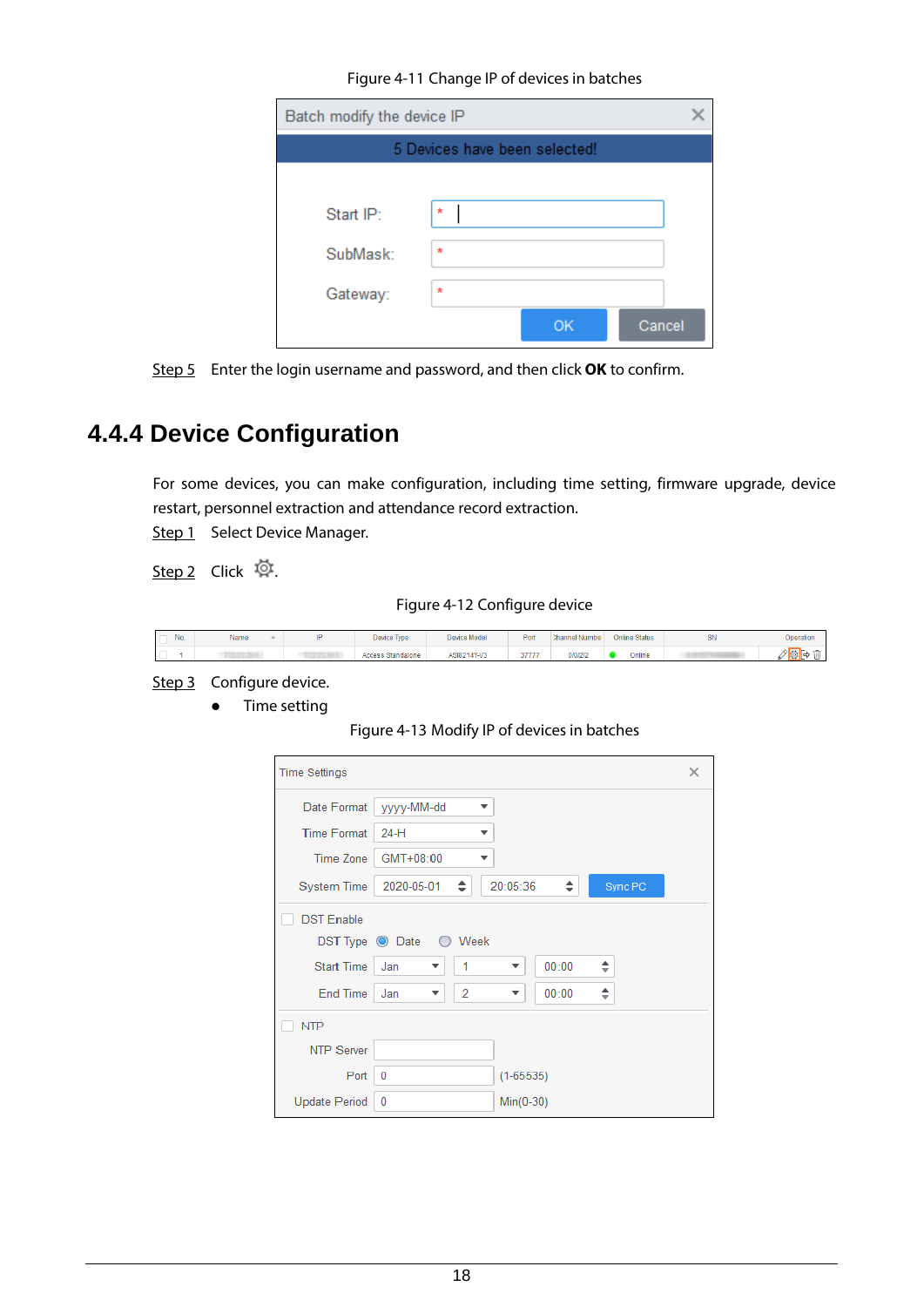Figure 4-11 Change IP of devices in batches

| Batch modify the device IP |                               |  |  |  |  |  |  |  |  |
|----------------------------|-------------------------------|--|--|--|--|--|--|--|--|
|                            | 5 Devices have been selected! |  |  |  |  |  |  |  |  |
|                            |                               |  |  |  |  |  |  |  |  |
| Start IP:                  | $\star$                       |  |  |  |  |  |  |  |  |
| SubMask:                   | $\star$                       |  |  |  |  |  |  |  |  |
| Gateway:                   | $\star$                       |  |  |  |  |  |  |  |  |
|                            | Cancel<br>OK                  |  |  |  |  |  |  |  |  |

Step 5 Enter the login username and password, and then click **OK** to confirm.

### <span id="page-21-0"></span>**4.4.4 Device Configuration**

For some devices, you can make configuration, including time setting, firmware upgrade, device restart, personnel extraction and attendance record extraction.

Step 1 Select Device Manager.

Step 2 Click 
<sub>尊</sub>

Figure 4-12 Configure device

| No | Name | Device Type       | Device Model | Port  | Channel Number | <b>Online Status</b> | SN | <b>Operation</b> |
|----|------|-------------------|--------------|-------|----------------|----------------------|----|------------------|
|    |      | Access Standalone | ASI8214Y-V3  | 37777 | 0/0/2/2        | Online               |    |                  |

Step 3 Configure device.

**•** Time setting

#### Figure 4-13 Modify IP of devices in batches

| <b>Time Settings</b> |                        |              |               |       |         | × |
|----------------------|------------------------|--------------|---------------|-------|---------|---|
| Date Format          | yyyy-MM-dd             | ▼            |               |       |         |   |
| <b>Time Format</b>   | $24-H$                 | ▼            |               |       |         |   |
| Time Zone            | GMT+08:00              | ▼            |               |       |         |   |
| <b>System Time</b>   | 2020-05-01             | ÷            | 20:05:36      | ÷     | Sync PC |   |
| <b>DST Enable</b>    |                        |              |               |       |         |   |
|                      | DST Type O Date O Week |              |               |       |         |   |
| <b>Start Time</b>    | Jan<br>▼               | $\mathbf{1}$ | ▼             | 00:00 | ÷       |   |
| End Time             | Jan<br>▼               | 2            | ▼             | 00:00 | ÷       |   |
| <b>NTP</b>           |                        |              |               |       |         |   |
| <b>NTP Server</b>    |                        |              |               |       |         |   |
| Port                 | 0                      |              | $(1 - 65535)$ |       |         |   |
| Update Period        | $\mathbf{0}$           |              | $Min(0-30)$   |       |         |   |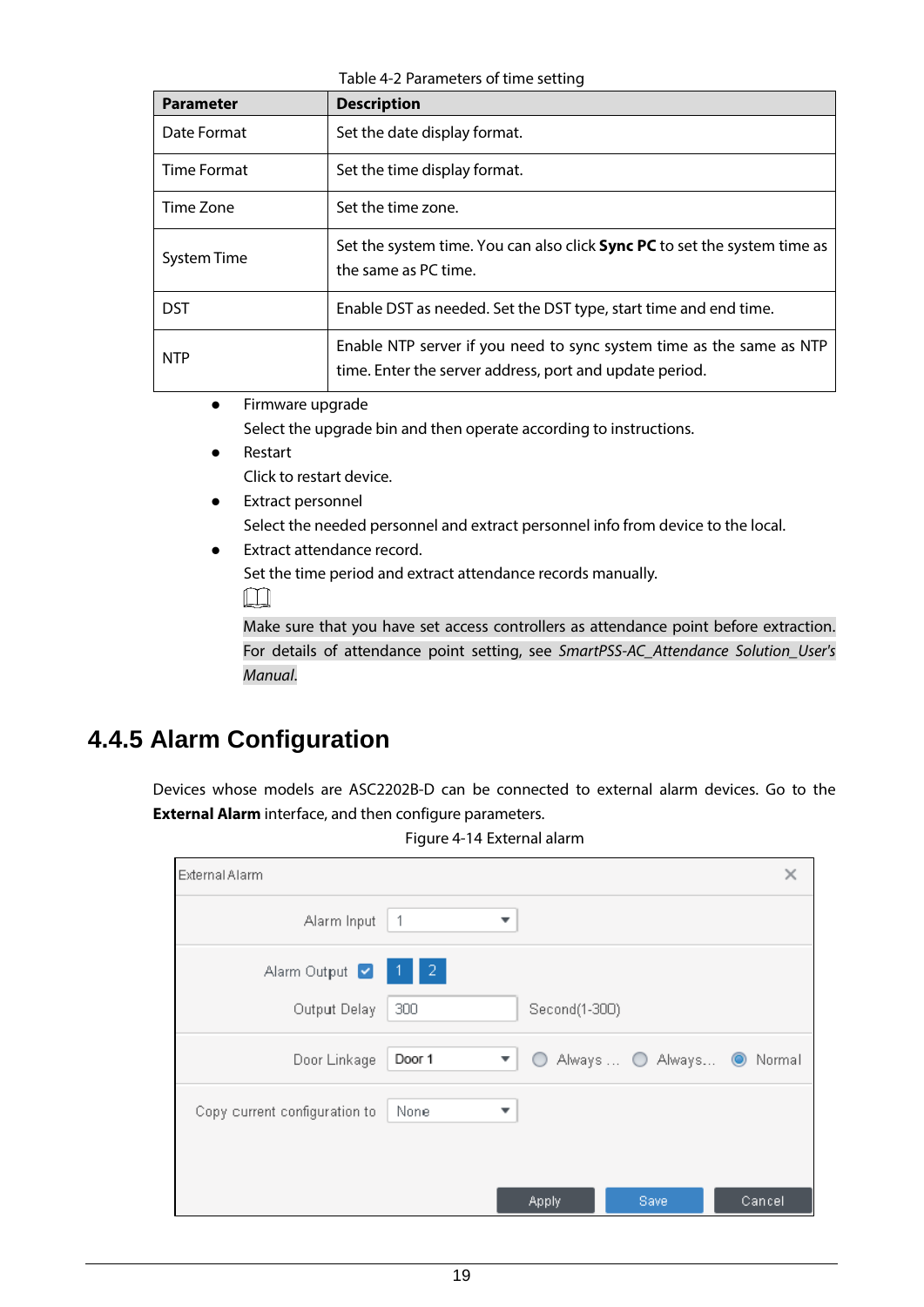Table 4-2 Parameters of time setting

| <b>Parameter</b>   | <b>Description</b>                                                                                                              |
|--------------------|---------------------------------------------------------------------------------------------------------------------------------|
| Date Format        | Set the date display format.                                                                                                    |
| Time Format        | Set the time display format.                                                                                                    |
| Time Zone          | Set the time zone.                                                                                                              |
| <b>System Time</b> | Set the system time. You can also click <b>Sync PC</b> to set the system time as<br>the same as PC time.                        |
| <b>DST</b>         | Enable DST as needed. Set the DST type, start time and end time.                                                                |
| <b>NTP</b>         | Enable NTP server if you need to sync system time as the same as NTP<br>time. Enter the server address, port and update period. |
| Eirmware ungrade   |                                                                                                                                 |

- **•** Firmware upgrade Select the upgrade bin and then operate according to instructions.
- **•** Restart Click to restart device.
- Extract personnel Select the needed personnel and extract personnel info from device to the local.
- Extract attendance record.

Set the time period and extract attendance records manually.

 $\Box$ 

Make sure that you have set access controllers as attendance point before extraction. For details of attendance point setting, see *SmartPSS-AC\_Attendance Solution\_User's Manual*.

### <span id="page-22-0"></span>**4.4.5 Alarm Configuration**

Devices whose models are ASC2202B-D can be connected to external alarm devices. Go to the **External Alarm** interface, and then configure parameters.

| Figure 4-14 External alarm |  |
|----------------------------|--|
|                            |  |

| External Alarm                |                                            |               |                    | х      |
|-------------------------------|--------------------------------------------|---------------|--------------------|--------|
| Alarm Input                   | $\overline{1}$<br>$\overline{\phantom{a}}$ |               |                    |        |
| Alarm Output<br>Output Delay  | $\blacksquare$ 2<br>300                    | Second(1-300) |                    |        |
| Door Linkage                  | Door 1<br>▼                                |               | Always  O Always O | Normal |
| Copy current configuration to | None<br>▼                                  |               |                    |        |
|                               |                                            | Apply         | Save               | Cancel |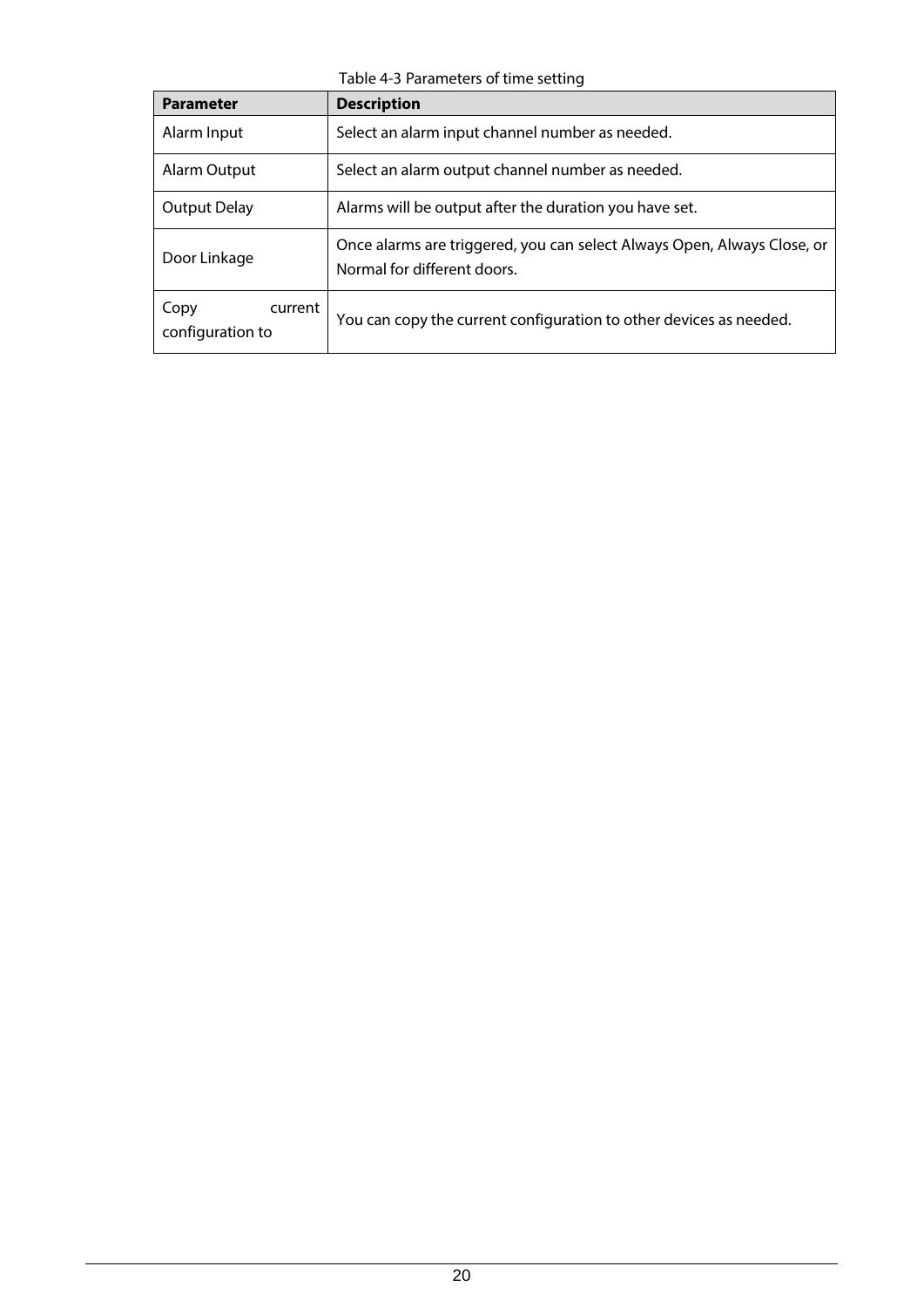Table 4-3 Parameters of time setting

| <b>Parameter</b>                    | <b>Description</b>                                                                                     |
|-------------------------------------|--------------------------------------------------------------------------------------------------------|
| Alarm Input                         | Select an alarm input channel number as needed.                                                        |
| Alarm Output                        | Select an alarm output channel number as needed.                                                       |
| Output Delay                        | Alarms will be output after the duration you have set.                                                 |
| Door Linkage                        | Once alarms are triggered, you can select Always Open, Always Close, or<br>Normal for different doors. |
| Copy<br>current<br>configuration to | You can copy the current configuration to other devices as needed.                                     |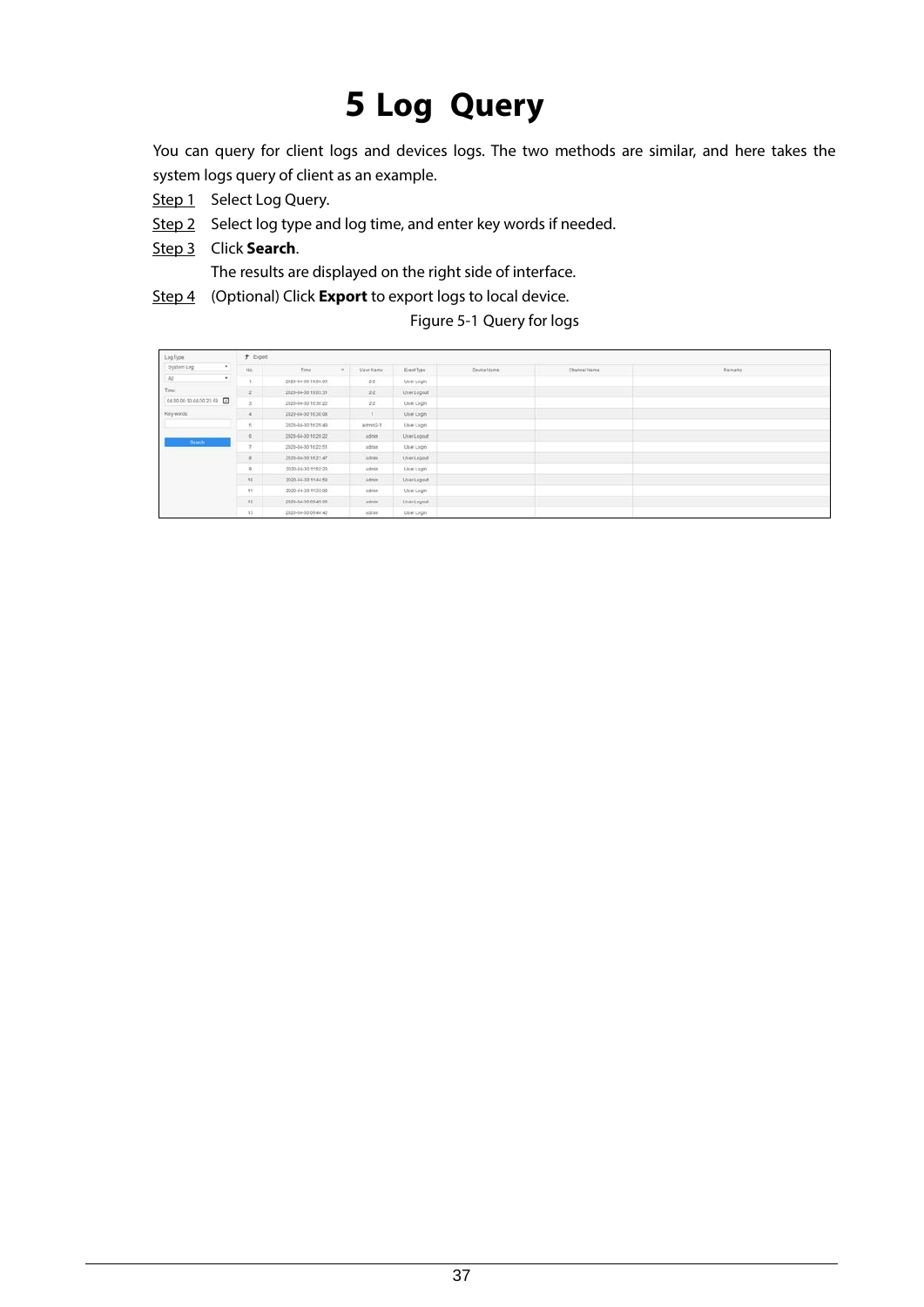# **5 Log Query**

<span id="page-24-0"></span>You can query for client logs and devices logs. The two methods are similar, and here takes the system logs query of client as an example.

- Step 1 Select Log Query.
- Step 2 Select log type and log time, and enter key words if needed.
- Step 3 Click **Search**.

The results are displayed on the right side of interface.

Step 4 (Optional) Click **Export** to export logs to local device.

#### Figure 5-1 Query for logs

| Log Type:                      | $f$ Export     |                        |               |                    |             |              |         |
|--------------------------------|----------------|------------------------|---------------|--------------------|-------------|--------------|---------|
| System Log<br>$\bullet$        | 146.           | Time:<br>$\mathcal{F}$ | User Name     | EventType          | Device Name | Channel Name | Remarks |
| All<br>٠                       |                | 2020-04-30 19:04:03    | 28.           | User Login         |             |              |         |
| Time:                          | 2.             | 2020-04-30 19:03:31    | 22.           | UserLogout         |             |              |         |
| 04/30 00:00:04/20 23:59 $\Box$ | $\mathbf{B}$   | 2020-04-30 16:30:22    | $22 -$        | User Login         |             |              |         |
| Key words:                     | $\cdot$        | 2020-04-30 16:30:08    | $\mathcal{X}$ | User Login         |             |              |         |
|                                | $\leq$         | 2020-04-30 16:29:40    | admin2-1      | <b>Lisar Login</b> |             |              |         |
|                                | $\mathbf{g}$   | 2020-04-30 16:29:22    | admin-        | UserLogout         |             |              |         |
| Search.                        | $\gamma$       | 2020-04-30 16:22:51    | agran         | User Login         |             |              |         |
|                                | 8.             | 2020-04-30 16:21:47    | admin         | UserLogout         |             |              |         |
|                                | $\overline{2}$ | 2020-04-30 11:52:23    | adnin         | User Login         |             |              |         |
|                                | 10             | 2020-04-30 11:44:59    | admin         | UserLogout         |             |              |         |
|                                | 11             | 2020-04-30 11:33:08    | admin         | User Login         |             |              |         |
|                                | 32             | 2020-04-30 09:49:06    | admin         | UserLogout         |             |              |         |
|                                | 13             | 2020-04-30 09:44:42    | agran         | User Login         |             |              |         |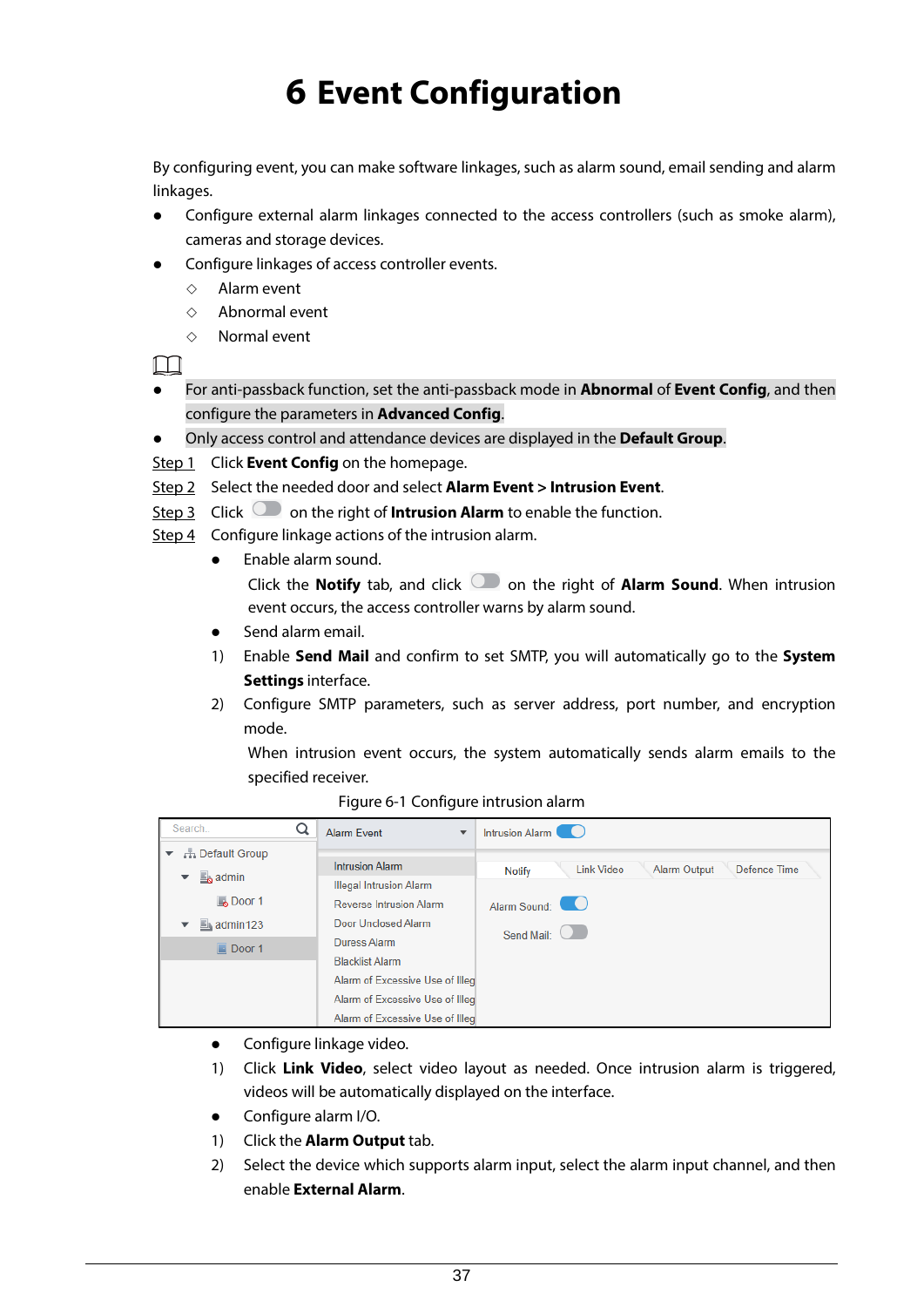# **6 Event Configuration**

<span id="page-25-0"></span>By configuring event, you can make software linkages, such as alarm sound, email sending and alarm linkages.

- Configure external alarm linkages connected to the access controllers (such as smoke alarm), cameras and storage devices.
- Configure linkages of access controller events.
	- $\Diamond$  Alarm event
	- $\diamond$  Abnormal event
	- $\Diamond$  Normal event

 $\Box$ 

- For anti-passback function, set the anti-passback mode in **Abnormal** of **Event Config**, and then configure the parameters in **Advanced Config**.
- Only access control and attendance devices are displayed in the **Default Group**.
- Step 1 Click **Event Config** on the homepage.
- Step 2 Select the needed door and select **Alarm Event > Intrusion Event**.
- Step 3 Click **the right of Intrusion Alarm** to enable the function.
- Step 4 Configure linkage actions of the intrusion alarm.
	- Enable alarm sound. Click the **Notify** tab, and click **or all on the right of Alarm Sound**. When intrusion event occurs, the access controller warns by alarm sound.
	- Send alarm email.
	- 1) Enable **Send Mail** and confirm to set SMTP, you will automatically go to the **System Settings** interface.
	- 2) Configure SMTP parameters, such as server address, port number, and encryption mode.

When intrusion event occurs, the system automatically sends alarm emails to the specified receiver.

| Search                 | <b>Alarm Event</b><br>$\overline{\phantom{a}}$ | Intrusion Alarm                                                    |
|------------------------|------------------------------------------------|--------------------------------------------------------------------|
| <b>- Default Group</b> |                                                |                                                                    |
| $\Box$ admin<br>▼      | <b>Intrusion Alarm</b>                         | Defence Time<br><b>Link Video</b><br><b>Alarm Output</b><br>Notify |
|                        | <b>Illegal Intrusion Alarm</b>                 |                                                                    |
| <b>B</b> Door 1        | <b>Reverse Intrusion Alarm</b>                 | Alarm Sound:                                                       |
| $\mathbb{E}$ admin123  | Door Unclosed Alarm                            | Send Mail:                                                         |
| $\Box$ Door 1          | Duress Alarm                                   |                                                                    |
|                        | <b>Blacklist Alarm</b>                         |                                                                    |
|                        | Alarm of Excessive Use of Illeg                |                                                                    |
|                        | Alarm of Excessive Use of Illeg                |                                                                    |
|                        | Alarm of Excessive Use of Illeg                |                                                                    |

Figure 6-1 Configure intrusion alarm

- **•** Configure linkage video.
- 1) Click **Link Video**, select video layout as needed. Once intrusion alarm is triggered, videos will be automatically displayed on the interface.
- Configure alarm I/O.
- 1) Click the **Alarm Output** tab.
- 2) Select the device which supports alarm input, select the alarm input channel, and then enable **External Alarm**.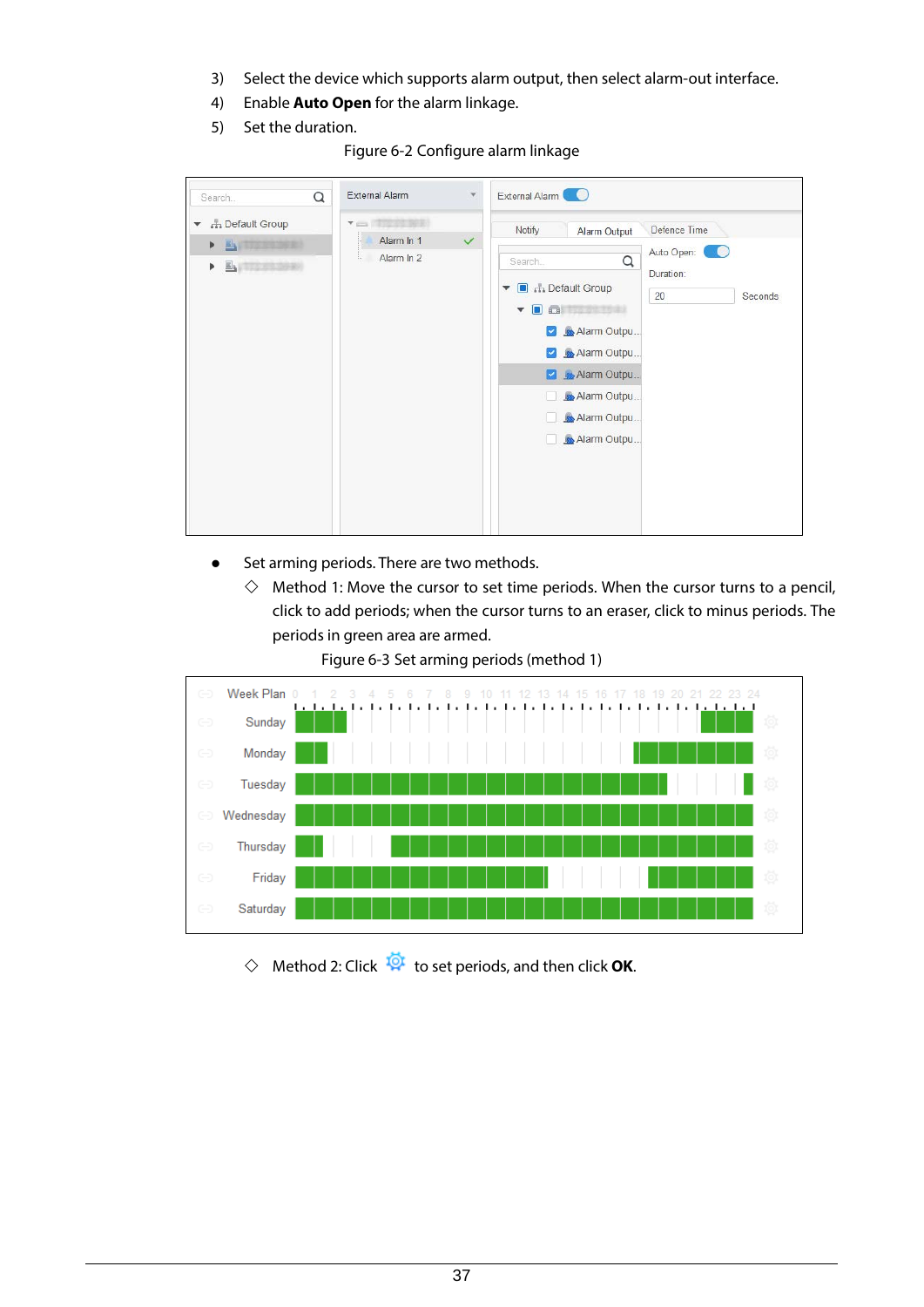- 3) Select the device which supports alarm output, then select alarm-out interface.
- 4) Enable **Auto Open** for the alarm linkage.
- 5) Set the duration.

Figure 6-2 Configure alarm linkage

| Q<br>Search                                                                                       | External Alarm                                   | $\mathbf{v}$ | External Alarm<br>$\bullet$                                                                                                                                                                                                                                                                             |         |
|---------------------------------------------------------------------------------------------------|--------------------------------------------------|--------------|---------------------------------------------------------------------------------------------------------------------------------------------------------------------------------------------------------------------------------------------------------------------------------------------------------|---------|
| <b>H</b> Default Group<br>$\blacktriangledown$<br>E,<br>172392923<br>Þ<br><b>Experience</b><br>Þ. | <b>You Thank New</b><br>Alarm In 1<br>Alarm In 2 | $\checkmark$ | Defence Time<br>Notify<br>Alarm Output<br>Auto Open:<br>Q<br>Search.<br>Duration:<br><b>B</b> Default Group<br>$\boldsymbol{\mathrm{v}}$<br>20<br>$\Box$<br>Alarm Outpu<br>$\blacktriangledown$<br>Alarm Outpu<br>$\blacktriangledown$<br>Alarm Outpu<br>◪<br>Alarm Outpu<br>Alarm Outpu<br>Alarm Outpu | Seconds |

- Set arming periods. There are two methods.
	- $\Diamond$  Method 1: Move the cursor to set time periods. When the cursor turns to a pencil, click to add periods; when the cursor turns to an eraser, click to minus periods. The periods in green area are armed.

Figure 6-3 Set arming periods (method 1)



 $\diamondsuit$  Method 2: Click  $\overline{\mathbf{Q}}^{\mathbf{L}}$  to set periods, and then click **OK**.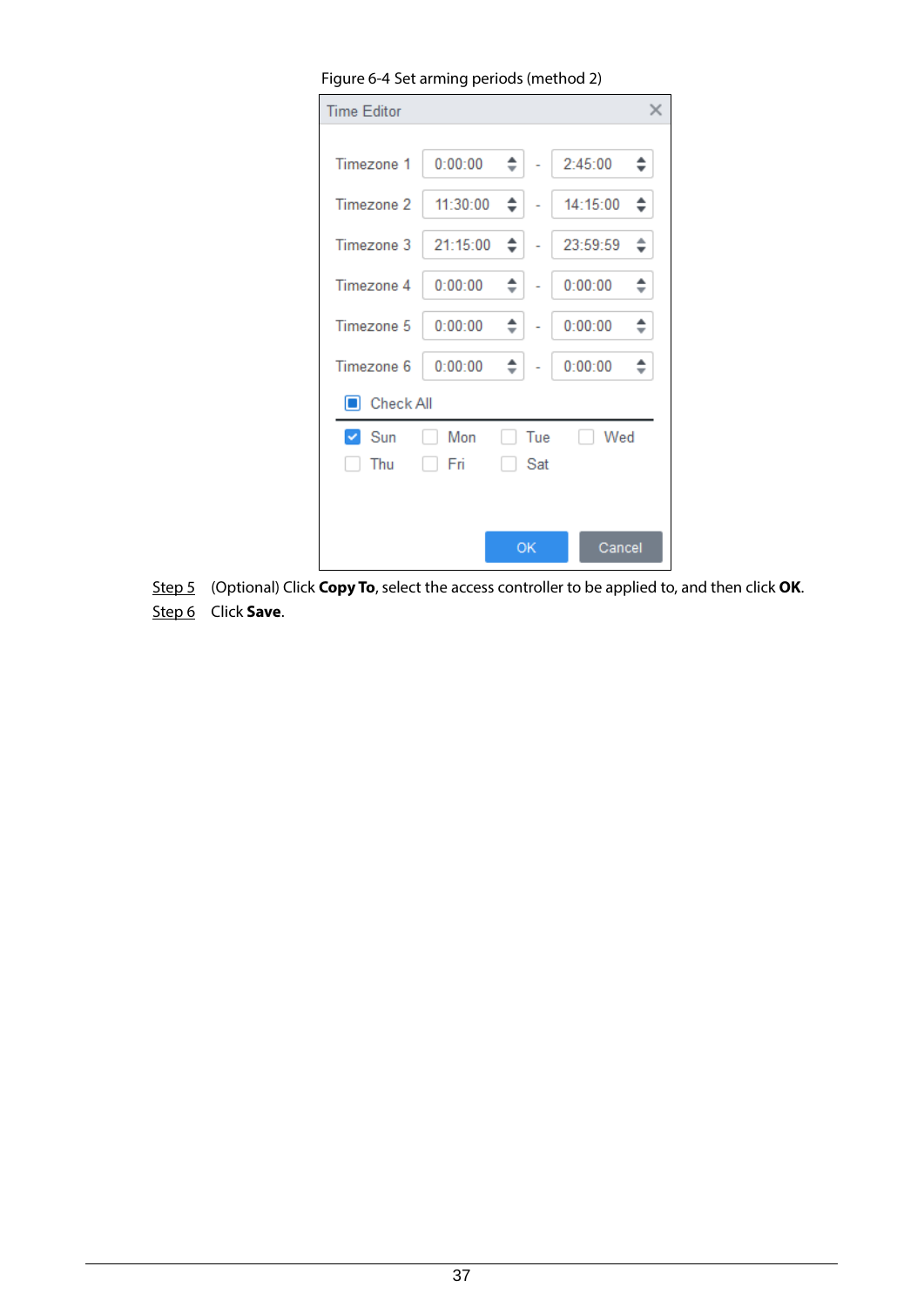| Figure 6-4 Set arming periods (method 2) |          |        |     |          |    |
|------------------------------------------|----------|--------|-----|----------|----|
| <b>Time Editor</b>                       |          |        |     |          | X  |
|                                          |          |        |     |          |    |
| Timezone 1                               | 0:00:00  | $\div$ |     | 2:45:00  | ÷. |
| Timezone 2                               | 11:30:00 | ÷۱     |     | 14:15:00 | ÷  |
| Timezone 3                               | 21:15:00 | ≑∣     |     | 23:59:59 | ÷. |
| Timezone 4                               | 0:00:00  | ÷۱     |     | 0:00:00  | ÷  |
| Timezone 5                               | 0:00:00  | ÷۱     |     | 0:00:00  | ÷. |
| Timezone 6                               | 0:00:00  | ÷.     |     | 0:00:00  | ÷  |
| Check All<br>П                           |          |        |     |          |    |
| $\vee$ Sun                               | Mon      |        | Tue | Wed      |    |
| Thu                                      | Fri      |        | Sat |          |    |
|                                          |          |        |     |          |    |
|                                          |          |        | OK  | Cancel   |    |

Step 5 (Optional) Click **Copy To**, select the access controller to be applied to, and then click **OK**. Step 6 Click **Save**.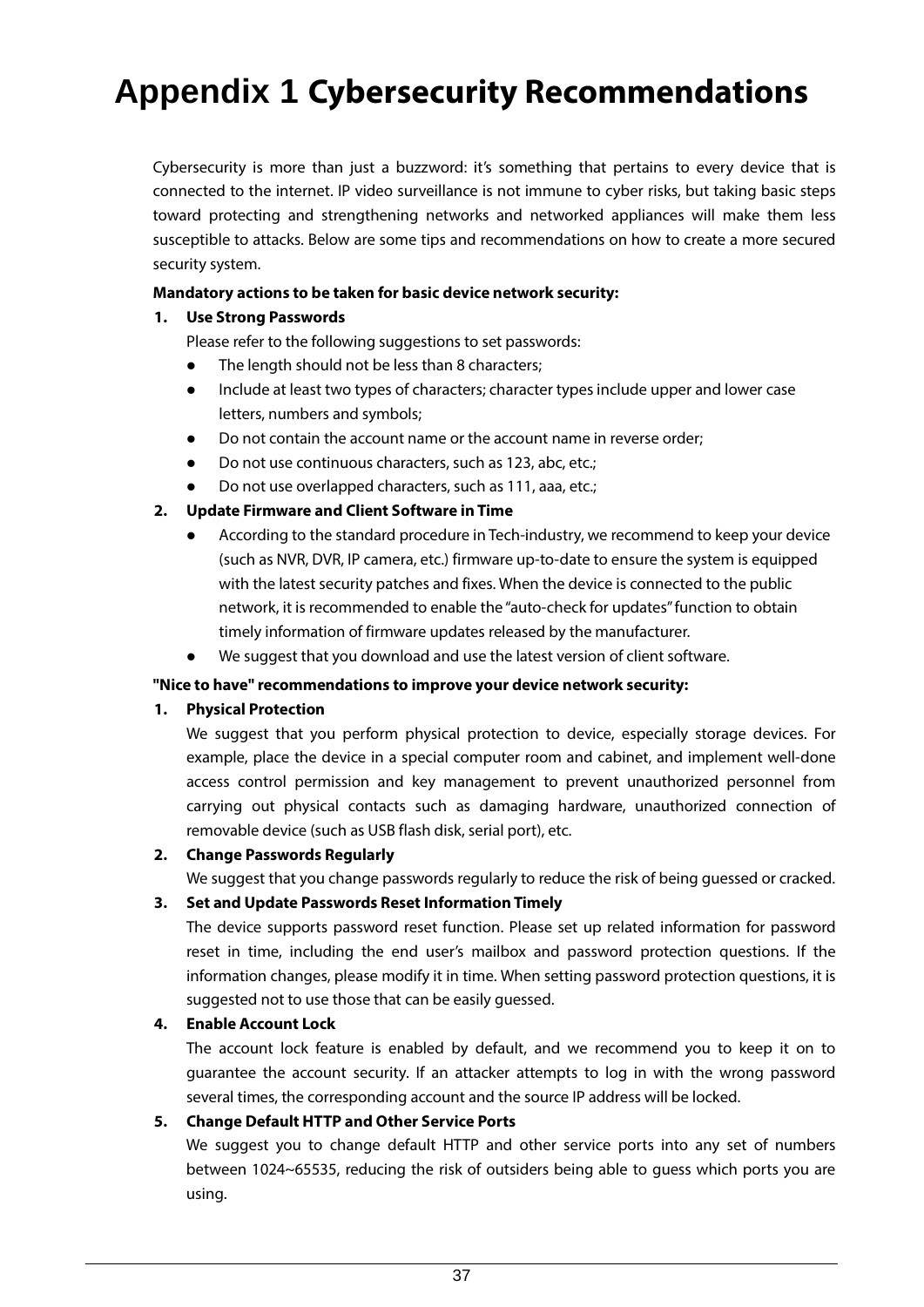# <span id="page-28-0"></span>**Appendix 1 Cybersecurity Recommendations**

Cybersecurity is more than just a buzzword: it's something that pertains to every device that is connected to the internet. IP video surveillance is not immune to cyber risks, but taking basic steps toward protecting and strengthening networks and networked appliances will make them less susceptible to attacks. Below are some tips and recommendations on how to create a more secured security system.

#### **Mandatory actions to be taken for basic device network security:**

### **1. Use Strong Passwords**

Please refer to the following suggestions to set passwords:

- The length should not be less than 8 characters;
- Include at least two types of characters; character types include upper and lower case letters, numbers and symbols;
- Do not contain the account name or the account name in reverse order;
- Do not use continuous characters, such as 123, abc, etc.;
- Do not use overlapped characters, such as 111, aaa, etc.;

### **2. Update Firmware and Client Software in Time**

- According to the standard procedure in Tech-industry, we recommend to keep your device (such as NVR, DVR, IP camera, etc.) firmware up-to-date to ensure the system is equipped with the latest security patches and fixes. When the device is connected to the public network, it is recommended to enable the "auto-check for updates"function to obtain timely information of firmware updates released by the manufacturer.
- We suggest that you download and use the latest version of client software.

#### **"Nice to have" recommendations to improve your device network security:**

#### **1. Physical Protection**

We suggest that you perform physical protection to device, especially storage devices. For example, place the device in a special computer room and cabinet, and implement well-done access control permission and key management to prevent unauthorized personnel from carrying out physical contacts such as damaging hardware, unauthorized connection of removable device (such as USB flash disk, serial port), etc.

#### **2. Change Passwords Regularly**

We suggest that you change passwords regularly to reduce the risk of being guessed or cracked.

#### **3. Set and Update Passwords Reset Information Timely**

The device supports password reset function. Please set up related information for password reset in time, including the end user's mailbox and password protection questions. If the information changes, please modify it in time. When setting password protection questions, it is suggested not to use those that can be easily guessed.

#### **4. Enable Account Lock**

The account lock feature is enabled by default, and we recommend you to keep it on to guarantee the account security. If an attacker attempts to log in with the wrong password several times, the corresponding account and the source IP address will be locked.

#### **5. Change Default HTTP and Other Service Ports**

We suggest you to change default HTTP and other service ports into any set of numbers between 1024~65535, reducing the risk of outsiders being able to guess which ports you are using.